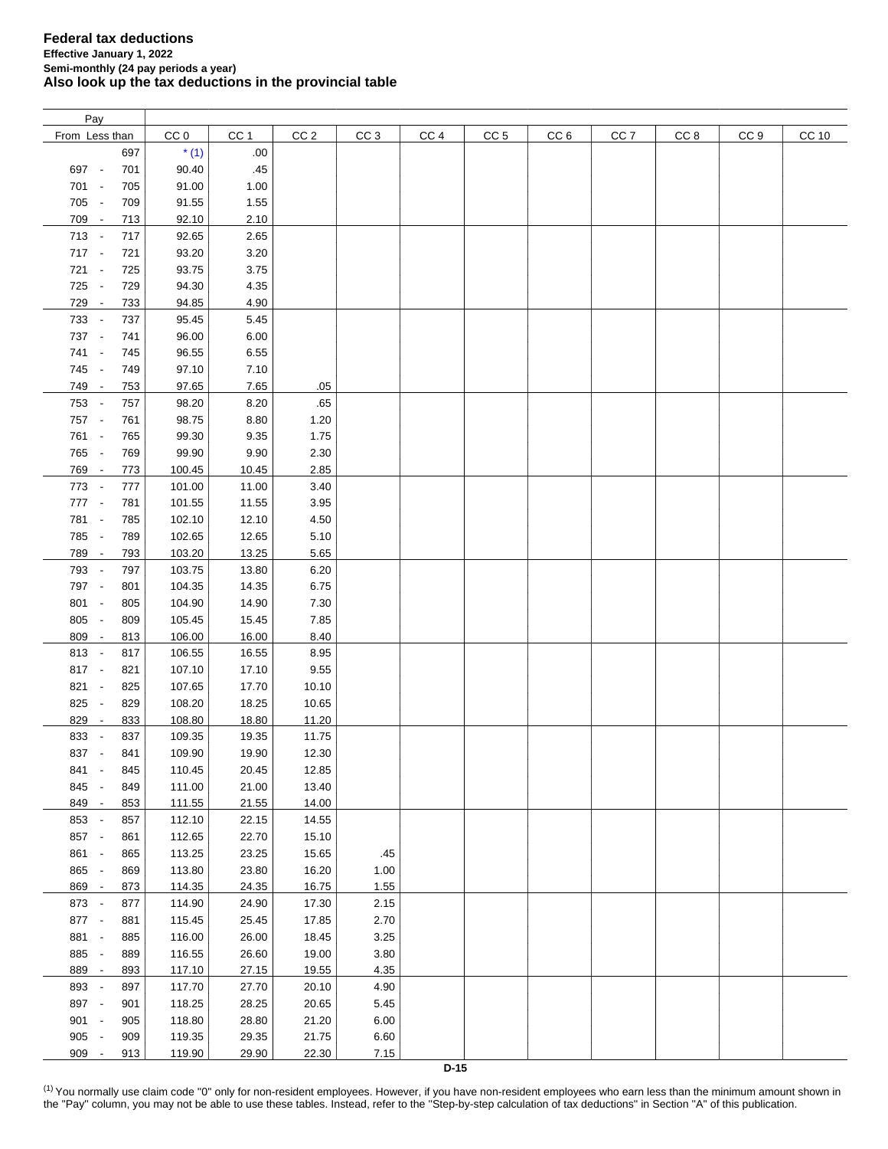| Pay            |     |                 |                 |                 |                 |                 |                 |                 |                 |                 |                 |       |
|----------------|-----|-----------------|-----------------|-----------------|-----------------|-----------------|-----------------|-----------------|-----------------|-----------------|-----------------|-------|
| From Less than |     | CC <sub>0</sub> | CC <sub>1</sub> | CC <sub>2</sub> | CC <sub>3</sub> | CC <sub>4</sub> | CC <sub>5</sub> | CC <sub>6</sub> | CC <sub>7</sub> | CC <sub>8</sub> | CC <sub>9</sub> | CC 10 |
|                | 697 | $*(1)$          | .00.            |                 |                 |                 |                 |                 |                 |                 |                 |       |
| 697 -          | 701 | 90.40           | .45             |                 |                 |                 |                 |                 |                 |                 |                 |       |
| 701 -          | 705 | 91.00           | 1.00            |                 |                 |                 |                 |                 |                 |                 |                 |       |
| 705 -          |     |                 |                 |                 |                 |                 |                 |                 |                 |                 |                 |       |
|                | 709 | 91.55           | 1.55            |                 |                 |                 |                 |                 |                 |                 |                 |       |
| 709 -          | 713 | 92.10           | 2.10            |                 |                 |                 |                 |                 |                 |                 |                 |       |
| 713 -          | 717 | 92.65           | 2.65            |                 |                 |                 |                 |                 |                 |                 |                 |       |
| 717 -          | 721 | 93.20           | 3.20            |                 |                 |                 |                 |                 |                 |                 |                 |       |
| $721 -$        | 725 | 93.75           | 3.75            |                 |                 |                 |                 |                 |                 |                 |                 |       |
| 725 -          | 729 | 94.30           | 4.35            |                 |                 |                 |                 |                 |                 |                 |                 |       |
| 729 -          | 733 | 94.85           | 4.90            |                 |                 |                 |                 |                 |                 |                 |                 |       |
| 733 -          | 737 | 95.45           | 5.45            |                 |                 |                 |                 |                 |                 |                 |                 |       |
| 737 -          | 741 | 96.00           | 6.00            |                 |                 |                 |                 |                 |                 |                 |                 |       |
| 741 -          | 745 | 96.55           | 6.55            |                 |                 |                 |                 |                 |                 |                 |                 |       |
| 745 -          | 749 | 97.10           | 7.10            |                 |                 |                 |                 |                 |                 |                 |                 |       |
| 749 -          | 753 | 97.65           | 7.65            | .05             |                 |                 |                 |                 |                 |                 |                 |       |
| 753 -          | 757 | 98.20           | 8.20            | .65             |                 |                 |                 |                 |                 |                 |                 |       |
| 757 -          | 761 | 98.75           | 8.80            | 1.20            |                 |                 |                 |                 |                 |                 |                 |       |
| 761 -          | 765 | 99.30           | 9.35            | 1.75            |                 |                 |                 |                 |                 |                 |                 |       |
| 765 -          | 769 | 99.90           | 9.90            | 2.30            |                 |                 |                 |                 |                 |                 |                 |       |
|                |     |                 |                 | 2.85            |                 |                 |                 |                 |                 |                 |                 |       |
| 769 -          | 773 | 100.45          | 10.45           |                 |                 |                 |                 |                 |                 |                 |                 |       |
| 773 -          | 777 | 101.00          | 11.00           | 3.40            |                 |                 |                 |                 |                 |                 |                 |       |
| 777 -          | 781 | 101.55          | 11.55           | 3.95            |                 |                 |                 |                 |                 |                 |                 |       |
| 781 -          | 785 | 102.10          | 12.10           | 4.50            |                 |                 |                 |                 |                 |                 |                 |       |
| 785 -          | 789 | 102.65          | 12.65           | 5.10            |                 |                 |                 |                 |                 |                 |                 |       |
| 789 -          | 793 | 103.20          | 13.25           | 5.65            |                 |                 |                 |                 |                 |                 |                 |       |
| 793 -          | 797 | 103.75          | 13.80           | 6.20            |                 |                 |                 |                 |                 |                 |                 |       |
| 797 -          | 801 | 104.35          | 14.35           | 6.75            |                 |                 |                 |                 |                 |                 |                 |       |
| 801 -          | 805 | 104.90          | 14.90           | 7.30            |                 |                 |                 |                 |                 |                 |                 |       |
| 805 -          | 809 | 105.45          | 15.45           | 7.85            |                 |                 |                 |                 |                 |                 |                 |       |
| 809 -          | 813 | 106.00          | 16.00           | 8.40            |                 |                 |                 |                 |                 |                 |                 |       |
| $813 -$        | 817 | 106.55          | 16.55           | 8.95            |                 |                 |                 |                 |                 |                 |                 |       |
| 817 -          | 821 | 107.10          | 17.10           | 9.55            |                 |                 |                 |                 |                 |                 |                 |       |
| $821 -$        | 825 | 107.65          | 17.70           | 10.10           |                 |                 |                 |                 |                 |                 |                 |       |
| 825 -          | 829 | 108.20          | 18.25           | 10.65           |                 |                 |                 |                 |                 |                 |                 |       |
| 829<br>$\sim$  | 833 | 108.80          | 18.80           | 11.20           |                 |                 |                 |                 |                 |                 |                 |       |
| 833 -          | 837 | 109.35          | 19.35           | 11.75           |                 |                 |                 |                 |                 |                 |                 |       |
| 837 -          | 841 | 109.90          | 19.90           | 12.30           |                 |                 |                 |                 |                 |                 |                 |       |
| 841<br>$\sim$  | 845 | 110.45          | 20.45           | 12.85           |                 |                 |                 |                 |                 |                 |                 |       |
| 845 -          | 849 | 111.00          | 21.00           | 13.40           |                 |                 |                 |                 |                 |                 |                 |       |
| 849 -          | 853 | 111.55          | 21.55           | 14.00           |                 |                 |                 |                 |                 |                 |                 |       |
| 853 -          | 857 | 112.10          | 22.15           | 14.55           |                 |                 |                 |                 |                 |                 |                 |       |
| 857 -          | 861 | 112.65          | 22.70           | 15.10           |                 |                 |                 |                 |                 |                 |                 |       |
|                |     |                 |                 |                 |                 |                 |                 |                 |                 |                 |                 |       |
| 861 -          | 865 | 113.25          | 23.25           | 15.65           | .45             |                 |                 |                 |                 |                 |                 |       |
| 865 -          | 869 | 113.80          | 23.80           | 16.20           | 1.00            |                 |                 |                 |                 |                 |                 |       |
| 869 -          | 873 | 114.35          | 24.35           | 16.75           | 1.55            |                 |                 |                 |                 |                 |                 |       |
| 873 -          | 877 | 114.90          | 24.90           | 17.30           | 2.15            |                 |                 |                 |                 |                 |                 |       |
| 877 -          | 881 | 115.45          | 25.45           | 17.85           | 2.70            |                 |                 |                 |                 |                 |                 |       |
| 881 -          | 885 | 116.00          | 26.00           | 18.45           | 3.25            |                 |                 |                 |                 |                 |                 |       |
| 885 -          | 889 | 116.55          | 26.60           | 19.00           | 3.80            |                 |                 |                 |                 |                 |                 |       |
| 889 -          | 893 | 117.10          | 27.15           | 19.55           | 4.35            |                 |                 |                 |                 |                 |                 |       |
| 893 -          | 897 | 117.70          | 27.70           | 20.10           | 4.90            |                 |                 |                 |                 |                 |                 |       |
| 897 -          | 901 | 118.25          | 28.25           | 20.65           | 5.45            |                 |                 |                 |                 |                 |                 |       |
| 901 -          | 905 | 118.80          | 28.80           | 21.20           | 6.00            |                 |                 |                 |                 |                 |                 |       |
| 905 -          | 909 | 119.35          | 29.35           | 21.75           | 6.60            |                 |                 |                 |                 |                 |                 |       |
| 909 -          | 913 | 119.90          | 29.90           | 22.30           | 7.15            |                 |                 |                 |                 |                 |                 |       |

<span id="page-0-0"></span><sup>(1)</sup> You normally use claim code "0" only for non-resident employees. However, if you have non-resident employees who earn less than the minimum amount shown in the "Pay" column, you may not be able to use these tables. Instead, refer to the "Step-by-step calculation of tax deductions" in Section "A" of this publication.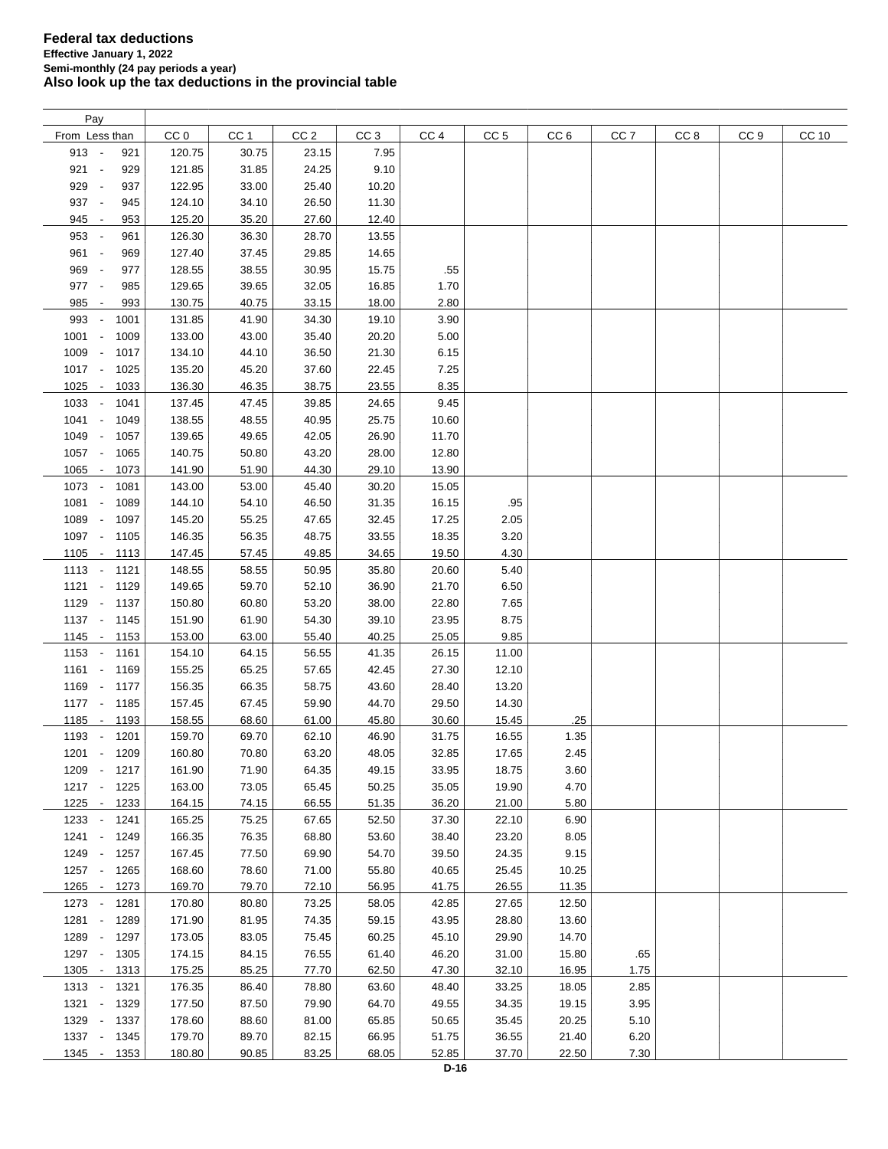| Pay                                      |        |                 |                 |                 |       |                 |                 |                 |                 |      |       |
|------------------------------------------|--------|-----------------|-----------------|-----------------|-------|-----------------|-----------------|-----------------|-----------------|------|-------|
| From Less than                           | CC 0   | CC <sub>1</sub> | CC <sub>2</sub> | CC <sub>3</sub> | CC 4  | CC <sub>5</sub> | CC <sub>6</sub> | CC <sub>7</sub> | CC <sub>8</sub> | CC 9 | CC 10 |
| $913 -$<br>921                           | 120.75 | 30.75           | 23.15           | 7.95            |       |                 |                 |                 |                 |      |       |
| $921 -$<br>929                           | 121.85 | 31.85           | 24.25           | 9.10            |       |                 |                 |                 |                 |      |       |
| 929 -<br>937                             | 122.95 | 33.00           | 25.40           | 10.20           |       |                 |                 |                 |                 |      |       |
| 937 -<br>945                             | 124.10 | 34.10           | 26.50           | 11.30           |       |                 |                 |                 |                 |      |       |
|                                          |        |                 |                 |                 |       |                 |                 |                 |                 |      |       |
| 945 -<br>953                             | 125.20 | 35.20           | 27.60           | 12.40           |       |                 |                 |                 |                 |      |       |
| 953 -<br>961                             | 126.30 | 36.30           | 28.70           | 13.55           |       |                 |                 |                 |                 |      |       |
| 961 -<br>969                             | 127.40 | 37.45           | 29.85           | 14.65           |       |                 |                 |                 |                 |      |       |
| 969 -<br>977                             | 128.55 | 38.55           | 30.95           | 15.75           | .55   |                 |                 |                 |                 |      |       |
| 977 -<br>985                             | 129.65 | 39.65           | 32.05           | 16.85           | 1.70  |                 |                 |                 |                 |      |       |
| 985<br>993<br>$\overline{\phantom{a}}$   | 130.75 | 40.75           | 33.15           | 18.00           | 2.80  |                 |                 |                 |                 |      |       |
| 993<br>1001<br>$\overline{\phantom{a}}$  | 131.85 | 41.90           | 34.30           | 19.10           | 3.90  |                 |                 |                 |                 |      |       |
| $1001 -$<br>1009                         | 133.00 | 43.00           | 35.40           | 20.20           | 5.00  |                 |                 |                 |                 |      |       |
| 1009 -<br>1017                           | 134.10 | 44.10           | 36.50           | 21.30           | 6.15  |                 |                 |                 |                 |      |       |
| 1017 -<br>1025                           | 135.20 | 45.20           | 37.60           | 22.45           | 7.25  |                 |                 |                 |                 |      |       |
| $1025 -$<br>1033                         | 136.30 | 46.35           | 38.75           | 23.55           | 8.35  |                 |                 |                 |                 |      |       |
| $1033 -$<br>1041                         | 137.45 | 47.45           | 39.85           | 24.65           | 9.45  |                 |                 |                 |                 |      |       |
| 1041<br>1049<br>$\overline{\phantom{a}}$ | 138.55 | 48.55           | 40.95           | 25.75           | 10.60 |                 |                 |                 |                 |      |       |
|                                          |        | 49.65           |                 |                 |       |                 |                 |                 |                 |      |       |
| 1049 -<br>1057                           | 139.65 |                 | 42.05           | 26.90           | 11.70 |                 |                 |                 |                 |      |       |
| 1057 -<br>1065                           | 140.75 | 50.80           | 43.20           | 28.00           | 12.80 |                 |                 |                 |                 |      |       |
| 1065 -<br>1073                           | 141.90 | 51.90           | 44.30           | 29.10           | 13.90 |                 |                 |                 |                 |      |       |
| 1073 -<br>1081                           | 143.00 | 53.00           | 45.40           | 30.20           | 15.05 |                 |                 |                 |                 |      |       |
| 1081 -<br>1089                           | 144.10 | 54.10           | 46.50           | 31.35           | 16.15 | .95             |                 |                 |                 |      |       |
| 1089<br>1097<br>$\overline{\phantom{a}}$ | 145.20 | 55.25           | 47.65           | 32.45           | 17.25 | 2.05            |                 |                 |                 |      |       |
| 1097 -<br>1105                           | 146.35 | 56.35           | 48.75           | 33.55           | 18.35 | 3.20            |                 |                 |                 |      |       |
| $1105 -$<br>1113                         | 147.45 | 57.45           | 49.85           | 34.65           | 19.50 | 4.30            |                 |                 |                 |      |       |
| $1113 -$<br>1121                         | 148.55 | 58.55           | 50.95           | 35.80           | 20.60 | 5.40            |                 |                 |                 |      |       |
| $1121 -$<br>1129                         | 149.65 | 59.70           | 52.10           | 36.90           | 21.70 | 6.50            |                 |                 |                 |      |       |
| 1129 -<br>1137                           | 150.80 | 60.80           | 53.20           | 38.00           | 22.80 | 7.65            |                 |                 |                 |      |       |
| $1137 -$<br>1145                         | 151.90 | 61.90           | 54.30           | 39.10           | 23.95 | 8.75            |                 |                 |                 |      |       |
| 1145<br>1153<br>$\sim$                   | 153.00 | 63.00           | 55.40           | 40.25           | 25.05 | 9.85            |                 |                 |                 |      |       |
| $1153 -$<br>1161                         | 154.10 | 64.15           | 56.55           | 41.35           | 26.15 | 11.00           |                 |                 |                 |      |       |
|                                          |        |                 |                 |                 |       |                 |                 |                 |                 |      |       |
| $1161 -$<br>1169                         | 155.25 | 65.25           | 57.65           | 42.45           | 27.30 | 12.10           |                 |                 |                 |      |       |
| 1169 -<br>1177                           | 156.35 | 66.35           | 58.75           | 43.60           | 28.40 | 13.20           |                 |                 |                 |      |       |
| $1177 -$<br>1185                         | 157.45 | 67.45           | 59.90           | 44.70           | 29.50 | 14.30           |                 |                 |                 |      |       |
| 1185 -<br>1193                           | 158.55 | 68.60           | 61.00           | 45.80           | 30.60 | 15.45           | .25             |                 |                 |      |       |
| 1193 -<br>1201                           | 159.70 | 69.70           | 62.10           | 46.90           | 31.75 | 16.55           | 1.35            |                 |                 |      |       |
| $1201 -$<br>1209                         | 160.80 | 70.80           | 63.20           | 48.05           | 32.85 | 17.65           | 2.45            |                 |                 |      |       |
| 1209 - 1217                              | 161.90 | 71.90           | 64.35           | 49.15           | 33.95 | 18.75           | 3.60            |                 |                 |      |       |
| 1217 -<br>1225                           | 163.00 | 73.05           | 65.45           | 50.25           | 35.05 | 19.90           | 4.70            |                 |                 |      |       |
| 1225 - 1233                              | 164.15 | 74.15           | 66.55           | 51.35           | 36.20 | 21.00           | 5.80            |                 |                 |      |       |
| 1233 - 1241                              | 165.25 | 75.25           | 67.65           | 52.50           | 37.30 | 22.10           | 6.90            |                 |                 |      |       |
| $1241 -$<br>1249                         | 166.35 | 76.35           | 68.80           | 53.60           | 38.40 | 23.20           | 8.05            |                 |                 |      |       |
| 1249 -<br>1257                           | 167.45 | 77.50           | 69.90           | 54.70           | 39.50 | 24.35           | 9.15            |                 |                 |      |       |
| 1257 -<br>1265                           | 168.60 | 78.60           | 71.00           | 55.80           | 40.65 | 25.45           | 10.25           |                 |                 |      |       |
| 1265 -<br>1273                           | 169.70 | 79.70           | 72.10           | 56.95           | 41.75 | 26.55           | 11.35           |                 |                 |      |       |
| 1273 -<br>1281                           | 170.80 | 80.80           | 73.25           | 58.05           | 42.85 | 27.65           | 12.50           |                 |                 |      |       |
| $1281 -$                                 | 171.90 | 81.95           |                 | 59.15           | 43.95 |                 |                 |                 |                 |      |       |
| 1289                                     |        |                 | 74.35           |                 |       | 28.80           | 13.60           |                 |                 |      |       |
| 1289 -<br>1297                           | 173.05 | 83.05           | 75.45           | 60.25           | 45.10 | 29.90           | 14.70           |                 |                 |      |       |
| 1297 -<br>1305                           | 174.15 | 84.15           | 76.55           | 61.40           | 46.20 | 31.00           | 15.80           | .65             |                 |      |       |
| $1305 -$<br>1313                         | 175.25 | 85.25           | 77.70           | 62.50           | 47.30 | 32.10           | 16.95           | 1.75            |                 |      |       |
| 1321<br>1313 -                           | 176.35 | 86.40           | 78.80           | 63.60           | 48.40 | 33.25           | 18.05           | 2.85            |                 |      |       |
| 1321 -<br>1329                           | 177.50 | 87.50           | 79.90           | 64.70           | 49.55 | 34.35           | 19.15           | 3.95            |                 |      |       |
| 1329 - 1337                              | 178.60 | 88.60           | 81.00           | 65.85           | 50.65 | 35.45           | 20.25           | 5.10            |                 |      |       |
| 1337 - 1345                              | 179.70 | 89.70           | 82.15           | 66.95           | 51.75 | 36.55           | 21.40           | 6.20            |                 |      |       |
| 1345 - 1353                              | 180.80 | 90.85           | 83.25           | 68.05           | 52.85 | 37.70           | 22.50           | 7.30            |                 |      |       |
|                                          |        |                 |                 |                 |       |                 |                 |                 |                 |      |       |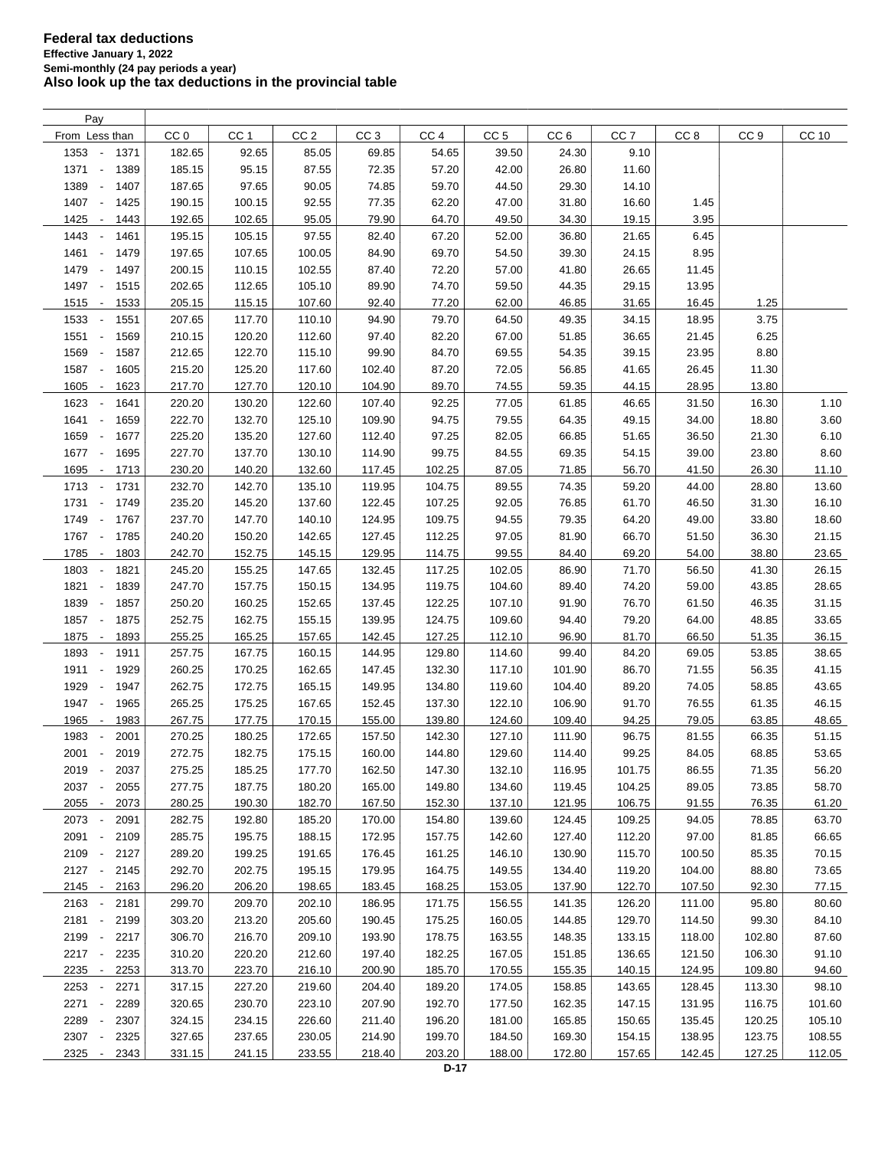| Pay                                      |                 |                 |                 |                 |                 |                 |                 |                 |        |                 |              |
|------------------------------------------|-----------------|-----------------|-----------------|-----------------|-----------------|-----------------|-----------------|-----------------|--------|-----------------|--------------|
| From Less than                           | CC <sub>0</sub> | CC <sub>1</sub> | CC <sub>2</sub> | CC <sub>3</sub> | CC <sub>4</sub> | CC <sub>5</sub> | CC <sub>6</sub> | CC <sub>7</sub> | CC 8   | CC <sub>9</sub> | <b>CC 10</b> |
| 1353<br>1371<br>$\overline{\phantom{a}}$ | 182.65          | 92.65           | 85.05           | 69.85           | 54.65           | 39.50           | 24.30           | 9.10            |        |                 |              |
| 1371<br>1389<br>$\sim$                   | 185.15          | 95.15           | 87.55           | 72.35           | 57.20           | 42.00           | 26.80           | 11.60           |        |                 |              |
| 1389<br>1407<br>$\overline{\phantom{a}}$ | 187.65          | 97.65           | 90.05           | 74.85           | 59.70           | 44.50           | 29.30           | 14.10           |        |                 |              |
| 1407<br>1425<br>$\overline{\phantom{a}}$ | 190.15          | 100.15          | 92.55           | 77.35           | 62.20           | 47.00           | 31.80           | 16.60           | 1.45   |                 |              |
| 1425<br>1443<br>$\overline{\phantom{a}}$ | 192.65          | 102.65          | 95.05           | 79.90           | 64.70           | 49.50           | 34.30           | 19.15           | 3.95   |                 |              |
| 1443<br>1461<br>$\overline{\phantom{a}}$ | 195.15          | 105.15          | 97.55           | 82.40           | 67.20           | 52.00           | 36.80           | 21.65           | 6.45   |                 |              |
| 1461<br>1479<br>$\overline{\phantom{a}}$ | 197.65          | 107.65          | 100.05          | 84.90           | 69.70           | 54.50           | 39.30           | 24.15           | 8.95   |                 |              |
| 1479<br>$\sim$<br>1497                   | 200.15          | 110.15          | 102.55          | 87.40           | 72.20           | 57.00           | 41.80           | 26.65           | 11.45  |                 |              |
| 1497<br>$\sim$<br>1515                   | 202.65          | 112.65          | 105.10          | 89.90           | 74.70           | 59.50           | 44.35           | 29.15           | 13.95  |                 |              |
|                                          |                 |                 |                 |                 |                 |                 |                 |                 |        |                 |              |
| 1515<br>1533<br>$\sim$                   | 205.15          | 115.15          | 107.60          | 92.40           | 77.20           | 62.00           | 46.85           | 31.65           | 16.45  | 1.25            |              |
| 1533<br>1551<br>$\overline{\phantom{a}}$ | 207.65          | 117.70          | 110.10          | 94.90           | 79.70           | 64.50           | 49.35           | 34.15           | 18.95  | 3.75            |              |
| 1551<br>1569<br>$\overline{\phantom{a}}$ | 210.15          | 120.20          | 112.60          | 97.40           | 82.20           | 67.00           | 51.85           | 36.65           | 21.45  | 6.25            |              |
| 1569<br>1587<br>$\overline{\phantom{a}}$ | 212.65          | 122.70          | 115.10          | 99.90           | 84.70           | 69.55           | 54.35           | 39.15           | 23.95  | 8.80            |              |
| 1587<br>1605<br>$\sim$                   | 215.20          | 125.20          | 117.60          | 102.40          | 87.20           | 72.05           | 56.85           | 41.65           | 26.45  | 11.30           |              |
| 1605<br>1623<br>$\overline{\phantom{a}}$ | 217.70          | 127.70          | 120.10          | 104.90          | 89.70           | 74.55           | 59.35           | 44.15           | 28.95  | 13.80           |              |
| 1623<br>1641<br>$\overline{\phantom{a}}$ | 220.20          | 130.20          | 122.60          | 107.40          | 92.25           | 77.05           | 61.85           | 46.65           | 31.50  | 16.30           | 1.10         |
| 1641<br>1659<br>$\overline{\phantom{a}}$ | 222.70          | 132.70          | 125.10          | 109.90          | 94.75           | 79.55           | 64.35           | 49.15           | 34.00  | 18.80           | $3.60\,$     |
| 1659<br>1677<br>$\overline{\phantom{a}}$ | 225.20          | 135.20          | 127.60          | 112.40          | 97.25           | 82.05           | 66.85           | 51.65           | 36.50  | 21.30           | 6.10         |
| 1677 -<br>1695                           | 227.70          | 137.70          | 130.10          | 114.90          | 99.75           | 84.55           | 69.35           | 54.15           | 39.00  | 23.80           | 8.60         |
| 1695<br>1713<br>$\sim$                   | 230.20          | 140.20          | 132.60          | 117.45          | 102.25          | 87.05           | 71.85           | 56.70           | 41.50  | 26.30           | 11.10        |
| 1713<br>$\sim$<br>1731                   | 232.70          | 142.70          | 135.10          | 119.95          | 104.75          | 89.55           | 74.35           | 59.20           | 44.00  | 28.80           | 13.60        |
| 1731<br>1749<br>$\sim$                   | 235.20          | 145.20          | 137.60          | 122.45          | 107.25          | 92.05           | 76.85           | 61.70           | 46.50  | 31.30           | 16.10        |
| 1749 -<br>1767                           | 237.70          | 147.70          | 140.10          | 124.95          | 109.75          | 94.55           | 79.35           | 64.20           | 49.00  | 33.80           | 18.60        |
| 1767 -<br>1785                           | 240.20          | 150.20          | 142.65          | 127.45          | 112.25          | 97.05           | 81.90           | 66.70           | 51.50  | 36.30           | 21.15        |
| 1785<br>1803<br>$\overline{\phantom{a}}$ | 242.70          | 152.75          | 145.15          | 129.95          | 114.75          | 99.55           | 84.40           | 69.20           | 54.00  | 38.80           | 23.65        |
| 1803<br>1821<br>$\overline{\phantom{a}}$ | 245.20          | 155.25          | 147.65          | 132.45          | 117.25          | 102.05          | 86.90           | 71.70           | 56.50  | 41.30           | 26.15        |
| 1821<br>1839<br>$\overline{\phantom{a}}$ | 247.70          | 157.75          | 150.15          | 134.95          | 119.75          | 104.60          | 89.40           | 74.20           | 59.00  | 43.85           | 28.65        |
| 1839<br>1857<br>$\overline{\phantom{a}}$ | 250.20          | 160.25          | 152.65          | 137.45          | 122.25          | 107.10          | 91.90           | 76.70           | 61.50  | 46.35           | 31.15        |
| 1857<br>1875<br>$\overline{\phantom{a}}$ | 252.75          | 162.75          | 155.15          | 139.95          | 124.75          | 109.60          | 94.40           | 79.20           | 64.00  | 48.85           | 33.65        |
| 1875<br>1893<br>$\overline{\phantom{a}}$ | 255.25          | 165.25          | 157.65          | 142.45          | 127.25          | 112.10          | 96.90           | 81.70           | 66.50  | 51.35           | 36.15        |
| 1893<br>$\sim$<br>1911                   | 257.75          | 167.75          | 160.15          | 144.95          | 129.80          | 114.60          | 99.40           | 84.20           | 69.05  | 53.85           | 38.65        |
| 1911 -<br>1929                           | 260.25          | 170.25          | 162.65          | 147.45          | 132.30          | 117.10          | 101.90          | 86.70           | 71.55  | 56.35           | 41.15        |
| 1929<br>$\overline{\phantom{a}}$<br>1947 | 262.75          | 172.75          | 165.15          | 149.95          | 134.80          | 119.60          | 104.40          | 89.20           | 74.05  | 58.85           | 43.65        |
| 1947<br>1965<br>$\overline{\phantom{a}}$ | 265.25          | 175.25          | 167.65          | 152.45          | 137.30          | 122.10          | 106.90          | 91.70           | 76.55  | 61.35           | 46.15        |
| 1965<br>1983<br>$\overline{\phantom{a}}$ | 267.75          | 177.75          | 170.15          | 155.00          | 139.80          | 124.60          | 109.40          | 94.25           | 79.05  | 63.85           | 48.65        |
| 1983<br>2001                             | 270.25          | 180.25          | 172.65          | 157.50          | 142.30          | 127.10          | 111.90          | 96.75           | 81.55  | 66.35           | 51.15        |
| 2001 -<br>2019                           | 272.75          | 182.75          | 175.15          | 160.00          | 144.80          | 129.60          | 114.40          | 99.25           | 84.05  | 68.85           | 53.65        |
| 2019<br>$\overline{\phantom{a}}$<br>2037 | 275.25          | 185.25          | 177.70          | 162.50          | 147.30          | 132.10          | 116.95          | 101.75          | 86.55  | 71.35           | 56.20        |
| 2037<br>2055                             | 277.75          | 187.75          | 180.20          | 165.00          | 149.80          | 134.60          | 119.45          | 104.25          | 89.05  | 73.85           | 58.70        |
| 2055<br>2073<br>$\overline{\phantom{a}}$ | 280.25          | 190.30          | 182.70          | 167.50          | 152.30          | 137.10          | 121.95          | 106.75          | 91.55  | 76.35           | 61.20        |
| 2073<br>2091<br>$\overline{\phantom{a}}$ | 282.75          | 192.80          | 185.20          | 170.00          | 154.80          | 139.60          | 124.45          | 109.25          | 94.05  | 78.85           | 63.70        |
| 2091<br>2109<br>$\overline{\phantom{a}}$ | 285.75          | 195.75          | 188.15          | 172.95          | 157.75          | 142.60          | 127.40          | 112.20          | 97.00  | 81.85           | 66.65        |
| 2109 -<br>2127                           | 289.20          | 199.25          | 191.65          | 176.45          | 161.25          | 146.10          | 130.90          | 115.70          | 100.50 | 85.35           | 70.15        |
| 2127 -                                   | 292.70          | 202.75          | 195.15          | 179.95          | 164.75          | 149.55          | 134.40          | 119.20          |        | 88.80           |              |
| 2145                                     |                 |                 |                 |                 |                 |                 |                 |                 | 104.00 |                 | 73.65        |
| 2145 -<br>2163                           | 296.20          | 206.20          | 198.65          | 183.45          | 168.25          | 153.05          | 137.90          | 122.70          | 107.50 | 92.30           | 77.15        |
| 2163<br>2181<br>$\overline{\phantom{a}}$ | 299.70          | 209.70          | 202.10          | 186.95          | 171.75          | 156.55          | 141.35          | 126.20          | 111.00 | 95.80           | 80.60        |
| 2181 -<br>2199                           | 303.20          | 213.20          | 205.60          | 190.45          | 175.25          | 160.05          | 144.85          | 129.70          | 114.50 | 99.30           | 84.10        |
| 2199<br>2217<br>$\overline{\phantom{a}}$ | 306.70          | 216.70          | 209.10          | 193.90          | 178.75          | 163.55          | 148.35          | 133.15          | 118.00 | 102.80          | 87.60        |
| 2217 -<br>2235                           | 310.20          | 220.20          | 212.60          | 197.40          | 182.25          | 167.05          | 151.85          | 136.65          | 121.50 | 106.30          | 91.10        |
| 2235 -<br>2253                           | 313.70          | 223.70          | 216.10          | 200.90          | 185.70          | 170.55          | 155.35          | 140.15          | 124.95 | 109.80          | 94.60        |
| 2253<br>2271                             | 317.15          | 227.20          | 219.60          | 204.40          | 189.20          | 174.05          | 158.85          | 143.65          | 128.45 | 113.30          | 98.10        |
| 2271<br>2289<br>$\overline{\phantom{a}}$ | 320.65          | 230.70          | 223.10          | 207.90          | 192.70          | 177.50          | 162.35          | 147.15          | 131.95 | 116.75          | 101.60       |
| 2289<br>2307<br>$\overline{\phantom{a}}$ | 324.15          | 234.15          | 226.60          | 211.40          | 196.20          | 181.00          | 165.85          | 150.65          | 135.45 | 120.25          | 105.10       |
| 2307<br>2325<br>$\overline{\phantom{a}}$ | 327.65          | 237.65          | 230.05          | 214.90          | 199.70          | 184.50          | 169.30          | 154.15          | 138.95 | 123.75          | 108.55       |
| 2325<br>2343<br>$\overline{\phantom{a}}$ | 331.15          | 241.15          | 233.55          | 218.40          | 203.20          | 188.00          | 172.80          | 157.65          | 142.45 | 127.25          | 112.05       |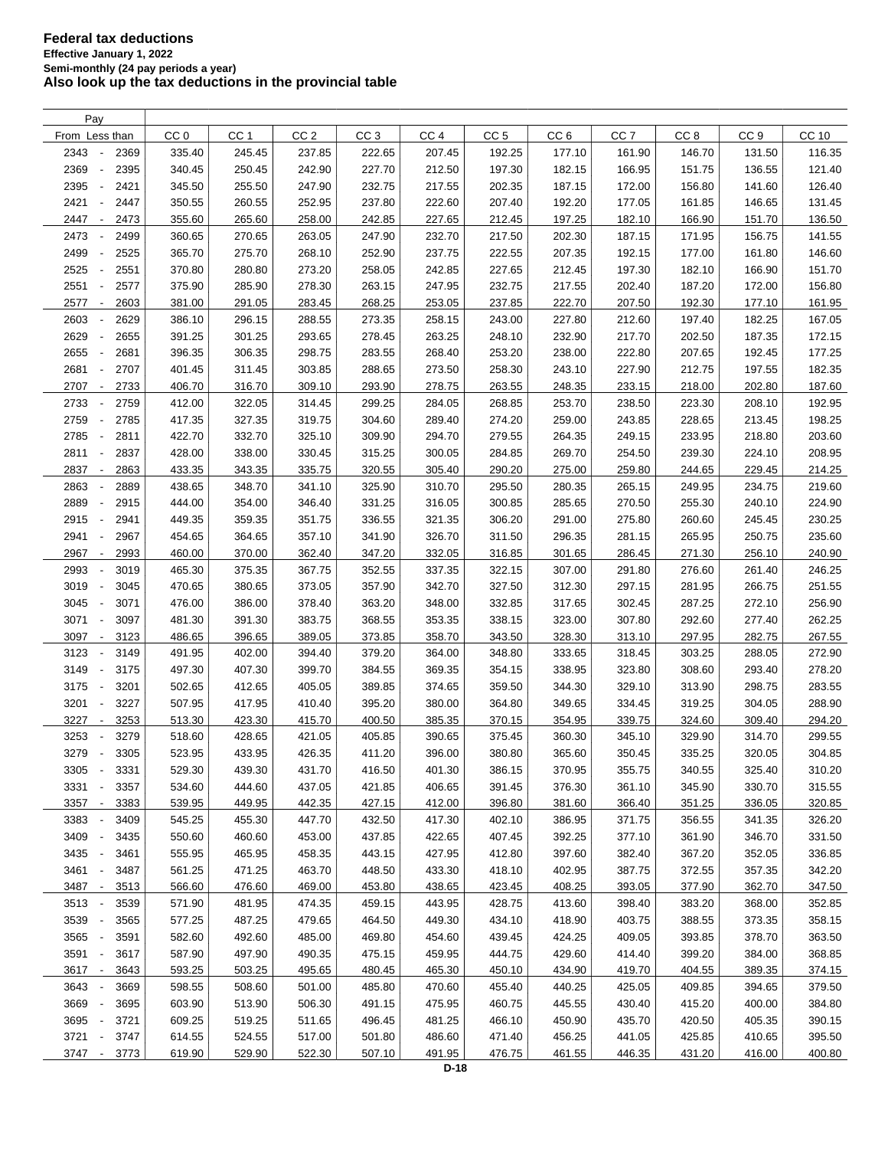| Pay                                      |                  |                 |                 |                 |                 |                 |                 |                 |                 |                 |              |
|------------------------------------------|------------------|-----------------|-----------------|-----------------|-----------------|-----------------|-----------------|-----------------|-----------------|-----------------|--------------|
| From Less than                           | CC <sub>0</sub>  | CC <sub>1</sub> | CC <sub>2</sub> | CC <sub>3</sub> | CC <sub>4</sub> | CC <sub>5</sub> | CC <sub>6</sub> | CC <sub>7</sub> | CC <sub>8</sub> | CC <sub>9</sub> | <b>CC 10</b> |
| 2343<br>2369<br>$\overline{\phantom{a}}$ | 335.40           | 245.45          | 237.85          | 222.65          | 207.45          | 192.25          | 177.10          | 161.90          | 146.70          | 131.50          | 116.35       |
| 2369<br>2395<br>$\overline{\phantom{a}}$ | 340.45           | 250.45          | 242.90          | 227.70          | 212.50          | 197.30          | 182.15          | 166.95          | 151.75          | 136.55          | 121.40       |
| 2395<br>2421                             | 345.50           | 255.50          | 247.90          | 232.75          | 217.55          | 202.35          | 187.15          | 172.00          | 156.80          | 141.60          | 126.40       |
| 2421<br>2447<br>$\overline{\phantom{a}}$ | 350.55           | 260.55          | 252.95          | 237.80          | 222.60          | 207.40          | 192.20          | 177.05          | 161.85          | 146.65          | 131.45       |
| 2447<br>2473<br>$\overline{\phantom{a}}$ | 355.60           | 265.60          | 258.00          | 242.85          | 227.65          | 212.45          | 197.25          | 182.10          | 166.90          | 151.70          | 136.50       |
| 2473<br>2499<br>$\overline{\phantom{a}}$ | 360.65           | 270.65          | 263.05          | 247.90          | 232.70          | 217.50          | 202.30          | 187.15          | 171.95          | 156.75          | 141.55       |
| 2499<br>2525<br>$\overline{\phantom{a}}$ | 365.70           | 275.70          | 268.10          | 252.90          | 237.75          | 222.55          | 207.35          | 192.15          | 177.00          | 161.80          | 146.60       |
| 2525<br>2551<br>$\overline{\phantom{a}}$ | 370.80           | 280.80          | 273.20          | 258.05          | 242.85          | 227.65          | 212.45          | 197.30          | 182.10          | 166.90          | 151.70       |
| 2551<br>2577<br>$\overline{\phantom{a}}$ | 375.90           | 285.90          | 278.30          | 263.15          | 247.95          | 232.75          | 217.55          | 202.40          | 187.20          | 172.00          | 156.80       |
| 2603                                     |                  |                 | 283.45          | 268.25          | 253.05          |                 | 222.70          |                 | 192.30          | 177.10          |              |
| 2577<br>$\overline{\phantom{a}}$         | 381.00<br>386.10 | 291.05          | 288.55          |                 |                 | 237.85          |                 | 207.50          | 197.40          |                 | 161.95       |
| 2603<br>2629                             |                  | 296.15          |                 | 273.35          | 258.15          | 243.00          | 227.80          | 212.60          |                 | 182.25          | 167.05       |
| 2629<br>2655                             | 391.25           | 301.25          | 293.65          | 278.45          | 263.25          | 248.10          | 232.90          | 217.70          | 202.50          | 187.35          | 172.15       |
| 2655<br>2681<br>÷,                       | 396.35           | 306.35          | 298.75          | 283.55          | 268.40          | 253.20          | 238.00          | 222.80          | 207.65          | 192.45          | 177.25       |
| 2681<br>2707<br>$\overline{\phantom{a}}$ | 401.45           | 311.45          | 303.85          | 288.65          | 273.50          | 258.30          | 243.10          | 227.90          | 212.75          | 197.55          | 182.35       |
| 2707<br>2733<br>$\overline{\phantom{a}}$ | 406.70           | 316.70          | 309.10          | 293.90          | 278.75          | 263.55          | 248.35          | 233.15          | 218.00          | 202.80          | 187.60       |
| 2733<br>2759<br>$\overline{\phantom{a}}$ | 412.00           | 322.05          | 314.45          | 299.25          | 284.05          | 268.85          | 253.70          | 238.50          | 223.30          | 208.10          | 192.95       |
| 2759<br>2785<br>$\overline{\phantom{a}}$ | 417.35           | 327.35          | 319.75          | 304.60          | 289.40          | 274.20          | 259.00          | 243.85          | 228.65          | 213.45          | 198.25       |
| 2785<br>2811<br>$\overline{\phantom{a}}$ | 422.70           | 332.70          | 325.10          | 309.90          | 294.70          | 279.55          | 264.35          | 249.15          | 233.95          | 218.80          | 203.60       |
| 2811<br>2837<br>$\overline{\phantom{a}}$ | 428.00           | 338.00          | 330.45          | 315.25          | 300.05          | 284.85          | 269.70          | 254.50          | 239.30          | 224.10          | 208.95       |
| 2837<br>2863<br>$\overline{\phantom{a}}$ | 433.35           | 343.35          | 335.75          | 320.55          | 305.40          | 290.20          | 275.00          | 259.80          | 244.65          | 229.45          | 214.25       |
| 2863<br>2889                             | 438.65           | 348.70          | 341.10          | 325.90          | 310.70          | 295.50          | 280.35          | 265.15          | 249.95          | 234.75          | 219.60       |
| 2889<br>2915<br>$\overline{\phantom{a}}$ | 444.00           | 354.00          | 346.40          | 331.25          | 316.05          | 300.85          | 285.65          | 270.50          | 255.30          | 240.10          | 224.90       |
| 2915<br>2941<br>$\overline{\phantom{a}}$ | 449.35           | 359.35          | 351.75          | 336.55          | 321.35          | 306.20          | 291.00          | 275.80          | 260.60          | 245.45          | 230.25       |
| 2941<br>2967                             | 454.65           | 364.65          | 357.10          | 341.90          | 326.70          | 311.50          | 296.35          | 281.15          | 265.95          | 250.75          | 235.60       |
| 2967<br>2993<br>$\overline{\phantom{a}}$ | 460.00           | 370.00          | 362.40          | 347.20          | 332.05          | 316.85          | 301.65          | 286.45          | 271.30          | 256.10          | 240.90       |
| 2993<br>3019                             | 465.30           | 375.35          | 367.75          | 352.55          | 337.35          | 322.15          | 307.00          | 291.80          | 276.60          | 261.40          | 246.25       |
| 3019<br>3045                             | 470.65           | 380.65          | 373.05          | 357.90          | 342.70          | 327.50          | 312.30          | 297.15          | 281.95          | 266.75          | 251.55       |
| 3045<br>3071<br>$\overline{\phantom{a}}$ | 476.00           | 386.00          | 378.40          | 363.20          | 348.00          | 332.85          | 317.65          | 302.45          | 287.25          | 272.10          | 256.90       |
| 3071<br>3097<br>$\overline{\phantom{a}}$ | 481.30           | 391.30          | 383.75          | 368.55          | 353.35          | 338.15          | 323.00          | 307.80          | 292.60          | 277.40          | 262.25       |
| 3097<br>3123<br>$\overline{\phantom{a}}$ | 486.65           | 396.65          | 389.05          | 373.85          | 358.70          | 343.50          | 328.30          | 313.10          | 297.95          | 282.75          | 267.55       |
| 3123<br>3149<br>$\overline{\phantom{a}}$ | 491.95           | 402.00          | 394.40          | 379.20          | 364.00          | 348.80          | 333.65          | 318.45          | 303.25          | 288.05          | 272.90       |
| 3149<br>3175<br>$\overline{\phantom{a}}$ | 497.30           | 407.30          | 399.70          | 384.55          | 369.35          | 354.15          | 338.95          | 323.80          | 308.60          | 293.40          | 278.20       |
| 3175<br>$\overline{\phantom{a}}$<br>3201 | 502.65           | 412.65          | 405.05          | 389.85          | 374.65          | 359.50          | 344.30          | 329.10          | 313.90          | 298.75          | 283.55       |
| 3201<br>3227<br>$\overline{\phantom{a}}$ | 507.95           | 417.95          | 410.40          | 395.20          | 380.00          | 364.80          | 349.65          | 334.45          | 319.25          | 304.05          | 288.90       |
| 3227<br>3253<br>$\overline{\phantom{a}}$ | 513.30           | 423.30          | 415.70          | 400.50          | 385.35          | 370.15          | 354.95          | 339.75          | 324.60          | 309.40          | 294.20       |
| 3253<br>3279                             | 518.60           | 428.65          | 421.05          | 405.85          | 390.65          | 375.45          | 360.30          | 345.10          | 329.90          | 314.70          | 299.55       |
| 3279<br>3305<br>$\overline{\phantom{a}}$ | 523.95           | 433.95          | 426.35          | 411.20          | 396.00          | 380.80          | 365.60          | 350.45          | 335.25          | 320.05          | 304.85       |
| 3305<br>3331<br>$\overline{\phantom{a}}$ | 529.30           | 439.30          | 431.70          | 416.50          | 401.30          | 386.15          | 370.95          | 355.75          | 340.55          | 325.40          | 310.20       |
| 3331<br>3357                             | 534.60           | 444.60          | 437.05          | 421.85          | 406.65          | 391.45          | 376.30          | 361.10          | 345.90          | 330.70          | 315.55       |
| 3357<br>3383<br>$\overline{\phantom{a}}$ | 539.95           | 449.95          | 442.35          | 427.15          | 412.00          | 396.80          | 381.60          | 366.40          | 351.25          | 336.05          | 320.85       |
| 3383<br>3409                             | 545.25           | 455.30          | 447.70          | 432.50          | 417.30          | 402.10          | 386.95          | 371.75          | 356.55          | 341.35          | 326.20       |
| 3409<br>3435                             | 550.60           | 460.60          | 453.00          | 437.85          | 422.65          | 407.45          | 392.25          | 377.10          | 361.90          | 346.70          | 331.50       |
| 3435<br>3461<br>$\overline{\phantom{a}}$ | 555.95           | 465.95          | 458.35          | 443.15          | 427.95          | 412.80          | 397.60          | 382.40          | 367.20          | 352.05          | 336.85       |
| 3461<br>3487<br>$\overline{\phantom{a}}$ | 561.25           | 471.25          | 463.70          | 448.50          | 433.30          | 418.10          | 402.95          | 387.75          | 372.55          | 357.35          | 342.20       |
| 3487 -<br>3513                           | 566.60           | 476.60          | 469.00          | 453.80          | 438.65          | 423.45          | 408.25          | 393.05          | 377.90          | 362.70          | 347.50       |
| 3513<br>3539                             | 571.90           | 481.95          | 474.35          | 459.15          | 443.95          | 428.75          | 413.60          | 398.40          | 383.20          | 368.00          | 352.85       |
| 3539<br>3565                             | 577.25           | 487.25          | 479.65          | 464.50          | 449.30          | 434.10          | 418.90          | 403.75          | 388.55          | 373.35          | 358.15       |
|                                          |                  |                 |                 |                 |                 |                 |                 |                 |                 |                 |              |
| 3565 -<br>3591                           | 582.60           | 492.60          | 485.00          | 469.80          | 454.60          | 439.45          | 424.25          | 409.05          | 393.85          | 378.70          | 363.50       |
| 3591<br>3617<br>$\overline{\phantom{a}}$ | 587.90           | 497.90          | 490.35          | 475.15          | 459.95          | 444.75          | 429.60          | 414.40          | 399.20          | 384.00          | 368.85       |
| 3617 -<br>3643                           | 593.25           | 503.25          | 495.65          | 480.45          | 465.30          | 450.10          | 434.90          | 419.70          | 404.55          | 389.35          | 374.15       |
| 3643<br>3669                             | 598.55           | 508.60          | 501.00          | 485.80          | 470.60          | 455.40          | 440.25          | 425.05          | 409.85          | 394.65          | 379.50       |
| 3669<br>3695                             | 603.90           | 513.90          | 506.30          | 491.15          | 475.95          | 460.75          | 445.55          | 430.40          | 415.20          | 400.00          | 384.80       |
| 3695 -<br>3721                           | 609.25           | 519.25          | 511.65          | 496.45          | 481.25          | 466.10          | 450.90          | 435.70          | 420.50          | 405.35          | 390.15       |
| 3721 -<br>3747                           | 614.55           | 524.55          | 517.00          | 501.80          | 486.60          | 471.40          | 456.25          | 441.05          | 425.85          | 410.65          | 395.50       |
| 3747 -<br>3773                           | 619.90           | 529.90          | 522.30          | 507.10          | 491.95          | 476.75          | 461.55          | 446.35          | 431.20          | 416.00          | 400.80       |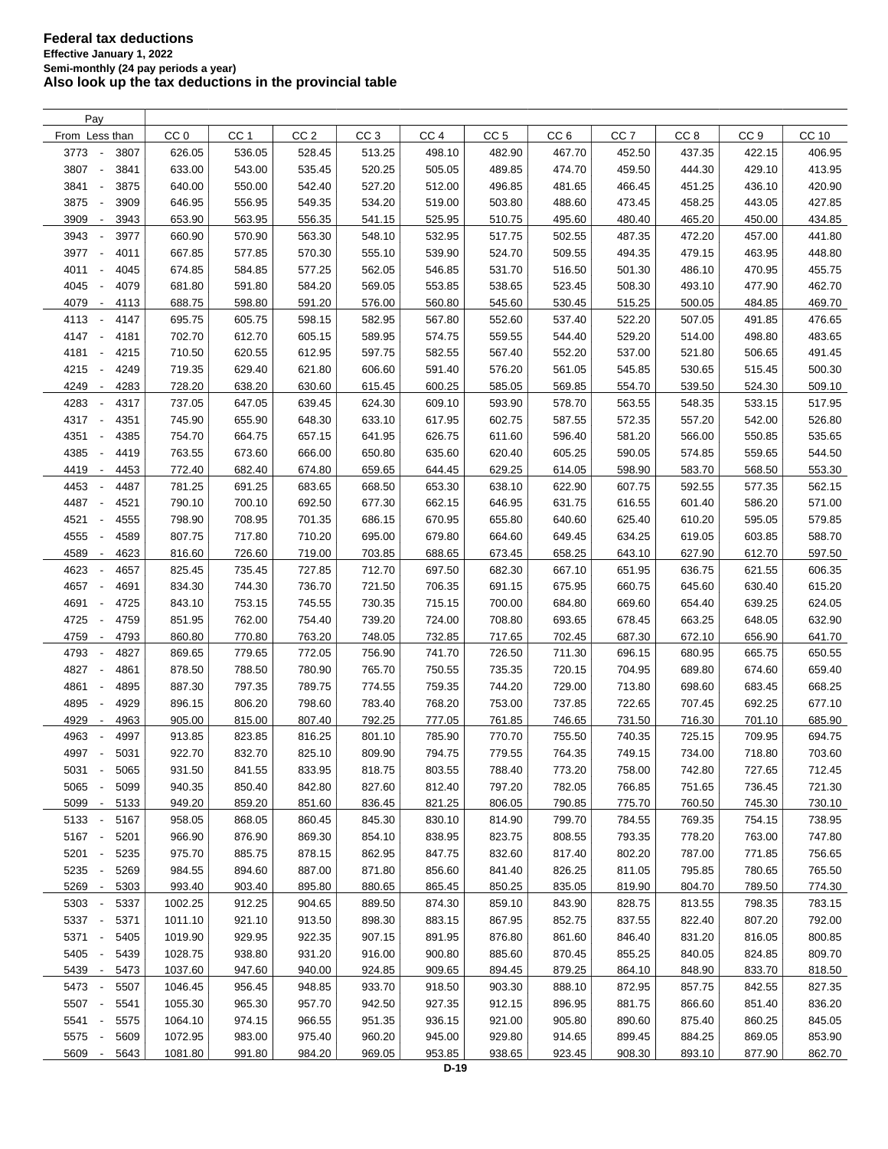| Pay                                              |                  |                  |                 |                  |                 |                  |                 |                 |                  |                  |              |
|--------------------------------------------------|------------------|------------------|-----------------|------------------|-----------------|------------------|-----------------|-----------------|------------------|------------------|--------------|
| From Less than                                   | CC <sub>0</sub>  | CC <sub>1</sub>  | CC <sub>2</sub> | CC <sub>3</sub>  | CC <sub>4</sub> | CC <sub>5</sub>  | CC <sub>6</sub> | CC <sub>7</sub> | CC <sub>8</sub>  | CC <sub>9</sub>  | <b>CC 10</b> |
| 3773<br>3807<br>$\overline{\phantom{a}}$         | 626.05           | 536.05           | 528.45          | 513.25           | 498.10          | 482.90           | 467.70          | 452.50          | 437.35           | 422.15           | 406.95       |
| 3807<br>3841<br>$\sim$                           | 633.00           | 543.00           | 535.45          | 520.25           | 505.05          | 489.85           | 474.70          | 459.50          | 444.30           | 429.10           | 413.95       |
| 3841<br>3875                                     | 640.00           | 550.00           | 542.40          | 527.20           | 512.00          | 496.85           | 481.65          | 466.45          | 451.25           | 436.10           | 420.90       |
| 3875<br>3909<br>$\overline{\phantom{a}}$         | 646.95           | 556.95           | 549.35          | 534.20           | 519.00          | 503.80           | 488.60          | 473.45          | 458.25           | 443.05           | 427.85       |
| 3909<br>3943<br>$\overline{\phantom{a}}$         | 653.90           | 563.95           | 556.35          | 541.15           | 525.95          | 510.75           | 495.60          | 480.40          | 465.20           | 450.00           | 434.85       |
| 3943<br>$\overline{\phantom{a}}$<br>3977         | 660.90           | 570.90           | 563.30          | 548.10           | 532.95          | 517.75           | 502.55          | 487.35          | 472.20           | 457.00           | 441.80       |
| 3977<br>$\overline{\phantom{a}}$<br>4011         | 667.85           | 577.85           | 570.30          | 555.10           | 539.90          | 524.70           | 509.55          | 494.35          | 479.15           | 463.95           | 448.80       |
| 4011<br>4045<br>$\overline{\phantom{a}}$         | 674.85           | 584.85           | 577.25          | 562.05           | 546.85          | 531.70           | 516.50          | 501.30          | 486.10           | 470.95           | 455.75       |
| 4045<br>4079<br>$\overline{\phantom{a}}$         | 681.80           | 591.80           | 584.20          | 569.05           | 553.85          | 538.65           | 523.45          | 508.30          | 493.10           | 477.90           | 462.70       |
| 4079<br>$\overline{\phantom{a}}$                 |                  | 598.80           |                 | 576.00           | 560.80          | 545.60           | 530.45          |                 | 500.05           | 484.85           |              |
| 4113                                             | 688.75           |                  | 591.20          |                  |                 |                  |                 | 515.25          |                  |                  | 469.70       |
| 4113<br>4147<br>$\overline{\phantom{a}}$<br>4147 | 695.75<br>702.70 | 605.75<br>612.70 | 598.15          | 582.95<br>589.95 | 567.80          | 552.60<br>559.55 | 537.40          | 522.20          | 507.05<br>514.00 | 491.85<br>498.80 | 476.65       |
| 4181<br>$\overline{\phantom{a}}$                 |                  |                  | 605.15          |                  | 574.75          |                  | 544.40          | 529.20          |                  |                  | 483.65       |
| 4181<br>4215<br>$\overline{\phantom{a}}$         | 710.50           | 620.55           | 612.95          | 597.75           | 582.55          | 567.40           | 552.20          | 537.00          | 521.80           | 506.65           | 491.45       |
| 4215<br>4249<br>$\overline{\phantom{a}}$         | 719.35           | 629.40           | 621.80          | 606.60           | 591.40          | 576.20           | 561.05          | 545.85          | 530.65           | 515.45           | 500.30       |
| 4249<br>4283<br>$\overline{\phantom{a}}$         | 728.20           | 638.20           | 630.60          | 615.45           | 600.25          | 585.05           | 569.85          | 554.70          | 539.50           | 524.30           | 509.10       |
| 4283<br>4317<br>$\overline{\phantom{a}}$         | 737.05           | 647.05           | 639.45          | 624.30           | 609.10          | 593.90           | 578.70          | 563.55          | 548.35           | 533.15           | 517.95       |
| 4317<br>4351<br>$\blacksquare$                   | 745.90           | 655.90           | 648.30          | 633.10           | 617.95          | 602.75           | 587.55          | 572.35          | 557.20           | 542.00           | 526.80       |
| 4351<br>4385<br>$\blacksquare$                   | 754.70           | 664.75           | 657.15          | 641.95           | 626.75          | 611.60           | 596.40          | 581.20          | 566.00           | 550.85           | 535.65       |
| 4385<br>4419<br>$\blacksquare$                   | 763.55           | 673.60           | 666.00          | 650.80           | 635.60          | 620.40           | 605.25          | 590.05          | 574.85           | 559.65           | 544.50       |
| 4419<br>$\overline{\phantom{a}}$<br>4453         | 772.40           | 682.40           | 674.80          | 659.65           | 644.45          | 629.25           | 614.05          | 598.90          | 583.70           | 568.50           | 553.30       |
| 4453<br>4487<br>$\overline{\phantom{a}}$         | 781.25           | 691.25           | 683.65          | 668.50           | 653.30          | 638.10           | 622.90          | 607.75          | 592.55           | 577.35           | 562.15       |
| 4487<br>4521<br>$\overline{\phantom{a}}$         | 790.10           | 700.10           | 692.50          | 677.30           | 662.15          | 646.95           | 631.75          | 616.55          | 601.40           | 586.20           | 571.00       |
| 4521<br>4555<br>$\overline{\phantom{a}}$         | 798.90           | 708.95           | 701.35          | 686.15           | 670.95          | 655.80           | 640.60          | 625.40          | 610.20           | 595.05           | 579.85       |
| 4555<br>4589                                     | 807.75           | 717.80           | 710.20          | 695.00           | 679.80          | 664.60           | 649.45          | 634.25          | 619.05           | 603.85           | 588.70       |
| 4589<br>4623<br>$\overline{\phantom{a}}$         | 816.60           | 726.60           | 719.00          | 703.85           | 688.65          | 673.45           | 658.25          | 643.10          | 627.90           | 612.70           | 597.50       |
| 4623<br>4657<br><b>.</b>                         | 825.45           | 735.45           | 727.85          | 712.70           | 697.50          | 682.30           | 667.10          | 651.95          | 636.75           | 621.55           | 606.35       |
| 4657<br>4691                                     | 834.30           | 744.30           | 736.70          | 721.50           | 706.35          | 691.15           | 675.95          | 660.75          | 645.60           | 630.40           | 615.20       |
| 4691<br>4725<br>÷,                               | 843.10           | 753.15           | 745.55          | 730.35           | 715.15          | 700.00           | 684.80          | 669.60          | 654.40           | 639.25           | 624.05       |
| 4725<br>4759<br>$\overline{\phantom{a}}$         | 851.95           | 762.00           | 754.40          | 739.20           | 724.00          | 708.80           | 693.65          | 678.45          | 663.25           | 648.05           | 632.90       |
| 4759<br>4793<br>$\overline{\phantom{a}}$         | 860.80           | 770.80           | 763.20          | 748.05           | 732.85          | 717.65           | 702.45          | 687.30          | 672.10           | 656.90           | 641.70       |
| 4793<br>4827<br>$\overline{\phantom{a}}$         | 869.65           | 779.65           | 772.05          | 756.90           | 741.70          | 726.50           | 711.30          | 696.15          | 680.95           | 665.75           | 650.55       |
| 4827<br>4861<br>$\overline{\phantom{a}}$         | 878.50           | 788.50           | 780.90          | 765.70           | 750.55          | 735.35           | 720.15          | 704.95          | 689.80           | 674.60           | 659.40       |
| 4861<br>4895<br>$\overline{\phantom{a}}$         | 887.30           | 797.35           | 789.75          | 774.55           | 759.35          | 744.20           | 729.00          | 713.80          | 698.60           | 683.45           | 668.25       |
| 4895<br>4929<br>$\overline{\phantom{a}}$         | 896.15           | 806.20           | 798.60          | 783.40           | 768.20          | 753.00           | 737.85          | 722.65          | 707.45           | 692.25           | 677.10       |
| 4929<br>4963<br>$\overline{\phantom{a}}$         | 905.00           | 815.00           | 807.40          | 792.25           | 777.05          | 761.85           | 746.65          | 731.50          | 716.30           | 701.10           | 685.90       |
| 4963<br>4997                                     | 913.85           | 823.85           | 816.25          | 801.10           | 785.90          | 770.70           | 755.50          | 740.35          | 725.15           | 709.95           | 694.75       |
| 4997 -<br>5031                                   | 922.70           | 832.70           | 825.10          | 809.90           | 794.75          | 779.55           | 764.35          | 749.15          | 734.00           | 718.80           | 703.60       |
| 5031<br>$\overline{\phantom{a}}$<br>5065         | 931.50           | 841.55           | 833.95          | 818.75           | 803.55          | 788.40           | 773.20          | 758.00          | 742.80           | 727.65           | 712.45       |
| 5065<br>5099                                     | 940.35           | 850.40           | 842.80          | 827.60           | 812.40          | 797.20           | 782.05          | 766.85          | 751.65           | 736.45           | 721.30       |
| 5099<br>5133<br>$\overline{\phantom{a}}$         | 949.20           | 859.20           | 851.60          | 836.45           | 821.25          | 806.05           | 790.85          | 775.70          | 760.50           | 745.30           | 730.10       |
| 5133<br>5167<br>$\sim$                           | 958.05           | 868.05           | 860.45          | 845.30           | 830.10          | 814.90           | 799.70          | 784.55          | 769.35           | 754.15           | 738.95       |
| 5167 -<br>5201                                   | 966.90           | 876.90           | 869.30          | 854.10           | 838.95          | 823.75           | 808.55          | 793.35          | 778.20           | 763.00           | 747.80       |
| 5201<br>5235<br>$\overline{\phantom{a}}$         | 975.70           | 885.75           | 878.15          | 862.95           | 847.75          | 832.60           | 817.40          | 802.20          | 787.00           | 771.85           | 756.65       |
| 5235<br>5269<br>$\overline{\phantom{a}}$         | 984.55           | 894.60           | 887.00          | 871.80           | 856.60          | 841.40           | 826.25          | 811.05          | 795.85           | 780.65           | 765.50       |
| 5269<br>5303<br>$\sim$                           | 993.40           | 903.40           | 895.80          | 880.65           | 865.45          | 850.25           | 835.05          | 819.90          | 804.70           | 789.50           | 774.30       |
| 5303<br>5337                                     | 1002.25          | 912.25           | 904.65          | 889.50           | 874.30          | 859.10           | 843.90          | 828.75          | 813.55           | 798.35           | 783.15       |
| 5337<br>5371<br>$\overline{\phantom{a}}$         | 1011.10          | 921.10           | 913.50          | 898.30           | 883.15          | 867.95           | 852.75          | 837.55          | 822.40           | 807.20           | 792.00       |
| 5371<br>5405<br>$\overline{\phantom{a}}$         | 1019.90          | 929.95           | 922.35          | 907.15           | 891.95          | 876.80           | 861.60          | 846.40          | 831.20           | 816.05           | 800.85       |
|                                                  |                  |                  |                 |                  |                 |                  |                 |                 |                  |                  |              |
| 5405<br>5439<br>$\overline{\phantom{a}}$         | 1028.75          | 938.80           | 931.20          | 916.00           | 900.80          | 885.60           | 870.45          | 855.25          | 840.05           | 824.85           | 809.70       |
| 5439 -<br>5473                                   | 1037.60          | 947.60           | 940.00          | 924.85           | 909.65          | 894.45           | 879.25          | 864.10          | 848.90           | 833.70           | 818.50       |
| 5473<br>5507                                     | 1046.45          | 956.45           | 948.85          | 933.70           | 918.50          | 903.30           | 888.10          | 872.95          | 857.75           | 842.55           | 827.35       |
| 5507<br>5541<br>$\overline{\phantom{a}}$         | 1055.30          | 965.30           | 957.70          | 942.50           | 927.35          | 912.15           | 896.95          | 881.75          | 866.60           | 851.40           | 836.20       |
| 5541<br>5575<br>$\overline{\phantom{a}}$         | 1064.10          | 974.15           | 966.55          | 951.35           | 936.15          | 921.00           | 905.80          | 890.60          | 875.40           | 860.25           | 845.05       |
| 5575<br>5609<br>$\blacksquare$                   | 1072.95          | 983.00           | 975.40          | 960.20           | 945.00          | 929.80           | 914.65          | 899.45          | 884.25           | 869.05           | 853.90       |
| 5609<br>5643<br>$\overline{\phantom{a}}$         | 1081.80          | 991.80           | 984.20          | 969.05           | 953.85          | 938.65           | 923.45          | 908.30          | 893.10           | 877.90           | 862.70       |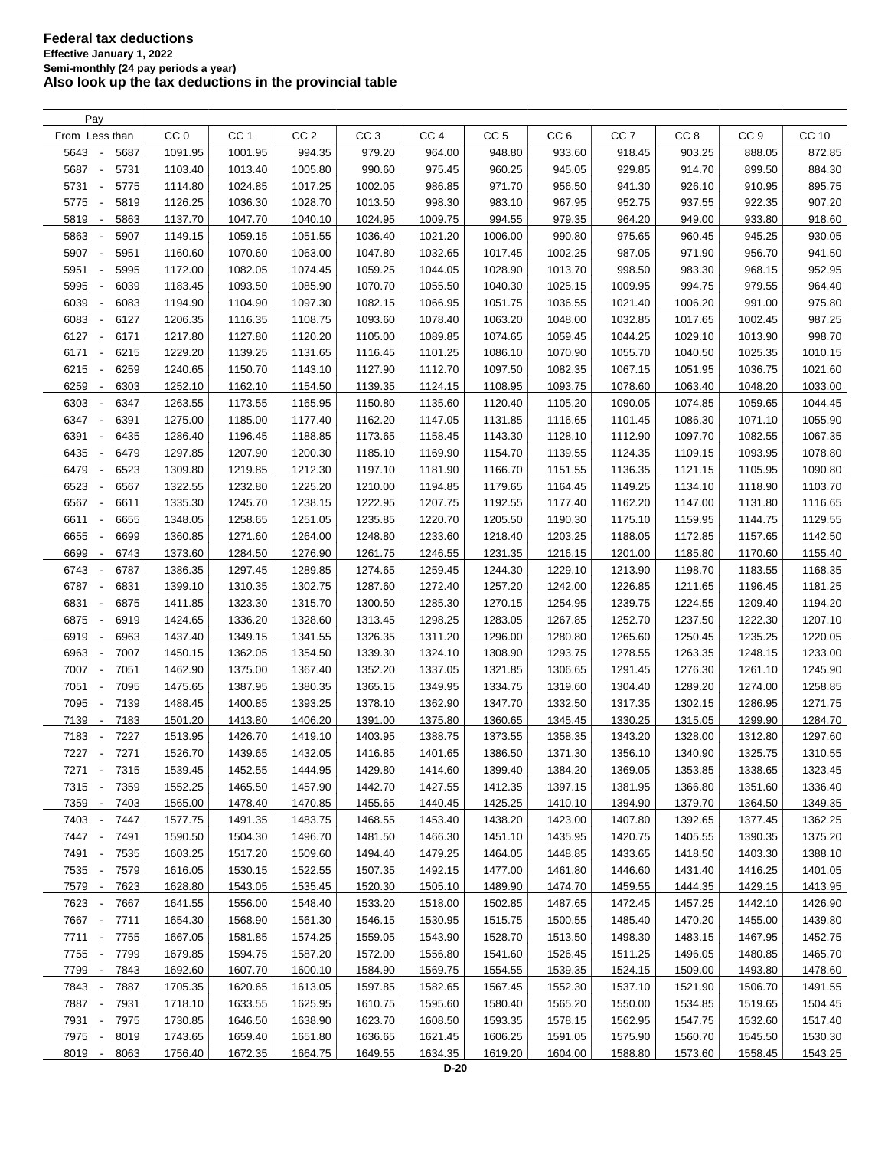| Pay                                              |                 |                 |                 |                 |                 |                 |                    |                 |                  |                  |                  |
|--------------------------------------------------|-----------------|-----------------|-----------------|-----------------|-----------------|-----------------|--------------------|-----------------|------------------|------------------|------------------|
| From Less than                                   | CC <sub>0</sub> | CC <sub>1</sub> | CC <sub>2</sub> | CC <sub>3</sub> | CC <sub>4</sub> | CC <sub>5</sub> | CC <sub>6</sub>    | CC <sub>7</sub> | CC <sub>8</sub>  | CC <sub>9</sub>  | CC 10            |
| 5643<br>5687<br>$\overline{\phantom{a}}$         | 1091.95         | 1001.95         | 994.35          | 979.20          | 964.00          | 948.80          | 933.60             | 918.45          | 903.25           | 888.05           | 872.85           |
| 5687<br>5731<br>$\sim$                           | 1103.40         | 1013.40         | 1005.80         | 990.60          | 975.45          | 960.25          | 945.05             | 929.85          | 914.70           | 899.50           | 884.30           |
| 5731<br>5775<br>$\overline{\phantom{a}}$         | 1114.80         | 1024.85         | 1017.25         | 1002.05         | 986.85          | 971.70          | 956.50             | 941.30          | 926.10           | 910.95           | 895.75           |
| 5775<br>5819<br>$\overline{\phantom{a}}$         | 1126.25         | 1036.30         | 1028.70         | 1013.50         | 998.30          | 983.10          | 967.95             | 952.75          | 937.55           | 922.35           | 907.20           |
| 5819<br>5863<br>$\overline{\phantom{a}}$         | 1137.70         | 1047.70         | 1040.10         | 1024.95         | 1009.75         | 994.55          | 979.35             | 964.20          | 949.00           | 933.80           | 918.60           |
| 5863<br>5907<br>$\blacksquare$                   | 1149.15         | 1059.15         | 1051.55         | 1036.40         | 1021.20         | 1006.00         | 990.80             | 975.65          | 960.45           | 945.25           | 930.05           |
| 5907<br>5951<br>$\overline{\phantom{a}}$         | 1160.60         | 1070.60         | 1063.00         | 1047.80         | 1032.65         | 1017.45         | 1002.25            | 987.05          | 971.90           | 956.70           | 941.50           |
| 5951<br>$\overline{\phantom{a}}$                 | 1172.00         | 1082.05         | 1074.45         | 1059.25         | 1044.05         | 1028.90         |                    | 998.50          |                  |                  |                  |
| 5995<br>5995<br>6039<br>$\overline{\phantom{a}}$ | 1183.45         | 1093.50         | 1085.90         | 1070.70         | 1055.50         | 1040.30         | 1013.70<br>1025.15 | 1009.95         | 983.30<br>994.75 | 968.15<br>979.55 | 952.95<br>964.40 |
|                                                  |                 |                 |                 |                 |                 |                 |                    |                 |                  |                  |                  |
| 6039<br>6083<br>$\overline{\phantom{a}}$         | 1194.90         | 1104.90         | 1097.30         | 1082.15         | 1066.95         | 1051.75         | 1036.55            | 1021.40         | 1006.20          | 991.00           | 975.80           |
| 6083<br>6127<br>$\overline{\phantom{a}}$         | 1206.35         | 1116.35         | 1108.75         | 1093.60         | 1078.40         | 1063.20         | 1048.00            | 1032.85         | 1017.65          | 1002.45          | 987.25           |
| 6127<br>6171<br>$\overline{\phantom{a}}$         | 1217.80         | 1127.80         | 1120.20         | 1105.00         | 1089.85         | 1074.65         | 1059.45            | 1044.25         | 1029.10          | 1013.90          | 998.70           |
| 6171<br>6215<br>$\overline{\phantom{a}}$         | 1229.20         | 1139.25         | 1131.65         | 1116.45         | 1101.25         | 1086.10         | 1070.90            | 1055.70         | 1040.50          | 1025.35          | 1010.15          |
| 6215<br>6259<br>$\overline{\phantom{a}}$         | 1240.65         | 1150.70         | 1143.10         | 1127.90         | 1112.70         | 1097.50         | 1082.35            | 1067.15         | 1051.95          | 1036.75          | 1021.60          |
| 6259<br>6303<br>$\overline{\phantom{a}}$         | 1252.10         | 1162.10         | 1154.50         | 1139.35         | 1124.15         | 1108.95         | 1093.75            | 1078.60         | 1063.40          | 1048.20          | 1033.00          |
| 6303<br>6347<br>$\overline{\phantom{a}}$         | 1263.55         | 1173.55         | 1165.95         | 1150.80         | 1135.60         | 1120.40         | 1105.20            | 1090.05         | 1074.85          | 1059.65          | 1044.45          |
| 6347<br>6391<br>$\overline{\phantom{a}}$         | 1275.00         | 1185.00         | 1177.40         | 1162.20         | 1147.05         | 1131.85         | 1116.65            | 1101.45         | 1086.30          | 1071.10          | 1055.90          |
| 6391<br>6435<br>$\overline{\phantom{a}}$         | 1286.40         | 1196.45         | 1188.85         | 1173.65         | 1158.45         | 1143.30         | 1128.10            | 1112.90         | 1097.70          | 1082.55          | 1067.35          |
| 6435<br>6479<br>$\blacksquare$                   | 1297.85         | 1207.90         | 1200.30         | 1185.10         | 1169.90         | 1154.70         | 1139.55            | 1124.35         | 1109.15          | 1093.95          | 1078.80          |
| 6479<br>6523<br>$\overline{\phantom{a}}$         | 1309.80         | 1219.85         | 1212.30         | 1197.10         | 1181.90         | 1166.70         | 1151.55            | 1136.35         | 1121.15          | 1105.95          | 1090.80          |
| 6523<br>6567<br>÷,                               | 1322.55         | 1232.80         | 1225.20         | 1210.00         | 1194.85         | 1179.65         | 1164.45            | 1149.25         | 1134.10          | 1118.90          | 1103.70          |
| 6567<br>6611<br>$\overline{\phantom{a}}$         | 1335.30         | 1245.70         | 1238.15         | 1222.95         | 1207.75         | 1192.55         | 1177.40            | 1162.20         | 1147.00          | 1131.80          | 1116.65          |
| 6611<br>6655<br>$\overline{\phantom{a}}$         | 1348.05         | 1258.65         | 1251.05         | 1235.85         | 1220.70         | 1205.50         | 1190.30            | 1175.10         | 1159.95          | 1144.75          | 1129.55          |
| 6655<br>6699<br>$\overline{\phantom{a}}$         | 1360.85         | 1271.60         | 1264.00         | 1248.80         | 1233.60         | 1218.40         | 1203.25            | 1188.05         | 1172.85          | 1157.65          | 1142.50          |
| 6699<br>6743<br>$\overline{\phantom{a}}$         | 1373.60         | 1284.50         | 1276.90         | 1261.75         | 1246.55         | 1231.35         | 1216.15            | 1201.00         | 1185.80          | 1170.60          | 1155.40          |
| 6743<br>6787                                     | 1386.35         | 1297.45         | 1289.85         | 1274.65         | 1259.45         | 1244.30         | 1229.10            | 1213.90         | 1198.70          | 1183.55          | 1168.35          |
| 6787<br>6831<br>$\overline{\phantom{a}}$         | 1399.10         | 1310.35         | 1302.75         | 1287.60         | 1272.40         | 1257.20         | 1242.00            | 1226.85         | 1211.65          | 1196.45          | 1181.25          |
| 6831<br>6875<br>$\overline{\phantom{a}}$         | 1411.85         | 1323.30         | 1315.70         | 1300.50         | 1285.30         | 1270.15         | 1254.95            | 1239.75         | 1224.55          | 1209.40          | 1194.20          |
| 6875<br>6919<br>$\overline{\phantom{a}}$         | 1424.65         | 1336.20         | 1328.60         | 1313.45         | 1298.25         | 1283.05         | 1267.85            | 1252.70         | 1237.50          | 1222.30          | 1207.10          |
| 6919<br>6963<br>$\overline{\phantom{a}}$         | 1437.40         | 1349.15         | 1341.55         | 1326.35         | 1311.20         | 1296.00         | 1280.80            | 1265.60         | 1250.45          | 1235.25          | 1220.05          |
| 6963<br>7007<br>$\overline{\phantom{a}}$         | 1450.15         | 1362.05         | 1354.50         | 1339.30         | 1324.10         | 1308.90         | 1293.75            | 1278.55         | 1263.35          | 1248.15          | 1233.00          |
| 7007<br>7051<br>$\overline{\phantom{a}}$         | 1462.90         | 1375.00         | 1367.40         | 1352.20         | 1337.05         | 1321.85         | 1306.65            | 1291.45         | 1276.30          | 1261.10          | 1245.90          |
| 7051<br>7095<br>$\overline{\phantom{a}}$         | 1475.65         | 1387.95         | 1380.35         | 1365.15         | 1349.95         | 1334.75         | 1319.60            | 1304.40         | 1289.20          | 1274.00          | 1258.85          |
| 7095<br>7139<br>$\overline{\phantom{a}}$         | 1488.45         | 1400.85         | 1393.25         | 1378.10         | 1362.90         | 1347.70         | 1332.50            | 1317.35         | 1302.15          | 1286.95          | 1271.75          |
| 7139<br>7183<br>$\overline{\phantom{a}}$         | 1501.20         | 1413.80         | 1406.20         | 1391.00         | 1375.80         | 1360.65         | 1345.45            | 1330.25         | 1315.05          | 1299.90          | 1284.70          |
| 7183<br>7227<br>$\overline{\phantom{a}}$         | 1513.95         | 1426.70         | 1419.10         | 1403.95         | 1388.75         | 1373.55         | 1358.35            | 1343.20         | 1328.00          | 1312.80          | 1297.60          |
| 7227 -<br>7271                                   | 1526.70         | 1439.65         | 1432.05         | 1416.85         | 1401.65         | 1386.50         | 1371.30            | 1356.10         | 1340.90          | 1325.75          | 1310.55          |
| 7271<br>$\sim$<br>7315                           | 1539.45         | 1452.55         | 1444.95         | 1429.80         | 1414.60         | 1399.40         | 1384.20            | 1369.05         | 1353.85          | 1338.65          | 1323.45          |
| 7315 -<br>7359                                   | 1552.25         | 1465.50         | 1457.90         | 1442.70         | 1427.55         | 1412.35         | 1397.15            | 1381.95         | 1366.80          | 1351.60          | 1336.40          |
| 7359<br>7403<br>$\overline{\phantom{a}}$         | 1565.00         | 1478.40         | 1470.85         | 1455.65         | 1440.45         | 1425.25         | 1410.10            | 1394.90         | 1379.70          | 1364.50          | 1349.35          |
| 7447<br>7403<br>$\sim$                           | 1577.75         | 1491.35         | 1483.75         | 1468.55         | 1453.40         | 1438.20         | 1423.00            | 1407.80         | 1392.65          | 1377.45          | 1362.25          |
| 7447 -<br>7491                                   | 1590.50         | 1504.30         | 1496.70         | 1481.50         | 1466.30         | 1451.10         | 1435.95            | 1420.75         | 1405.55          | 1390.35          | 1375.20          |
| 7491 -<br>7535                                   | 1603.25         | 1517.20         | 1509.60         | 1494.40         | 1479.25         | 1464.05         | 1448.85            | 1433.65         | 1418.50          | 1403.30          | 1388.10          |
| 7535 -<br>7579                                   | 1616.05         | 1530.15         | 1522.55         | 1507.35         | 1492.15         | 1477.00         | 1461.80            | 1446.60         | 1431.40          | 1416.25          | 1401.05          |
| 7579 -<br>7623                                   | 1628.80         | 1543.05         | 1535.45         | 1520.30         | 1505.10         | 1489.90         | 1474.70            | 1459.55         | 1444.35          | 1429.15          | 1413.95          |
| 7623 -<br>7667                                   | 1641.55         | 1556.00         | 1548.40         | 1533.20         | 1518.00         | 1502.85         | 1487.65            | 1472.45         | 1457.25          | 1442.10          | 1426.90          |
|                                                  |                 |                 |                 |                 |                 |                 |                    |                 |                  | 1455.00          |                  |
| 7667 -<br>7711                                   | 1654.30         | 1568.90         | 1561.30         | 1546.15         | 1530.95         | 1515.75         | 1500.55            | 1485.40         | 1470.20          |                  | 1439.80          |
| 7711 -<br>7755                                   | 1667.05         | 1581.85         | 1574.25         | 1559.05         | 1543.90         | 1528.70         | 1513.50            | 1498.30         | 1483.15          | 1467.95          | 1452.75          |
| 7755 -<br>7799                                   | 1679.85         | 1594.75         | 1587.20         | 1572.00         | 1556.80         | 1541.60         | 1526.45            | 1511.25         | 1496.05          | 1480.85          | 1465.70          |
| 7799 -<br>7843                                   | 1692.60         | 1607.70         | 1600.10         | 1584.90         | 1569.75         | 1554.55         | 1539.35            | 1524.15         | 1509.00          | 1493.80          | 1478.60          |
| 7843<br>7887<br>$\overline{\phantom{a}}$         | 1705.35         | 1620.65         | 1613.05         | 1597.85         | 1582.65         | 1567.45         | 1552.30            | 1537.10         | 1521.90          | 1506.70          | 1491.55          |
| 7887 -<br>7931                                   | 1718.10         | 1633.55         | 1625.95         | 1610.75         | 1595.60         | 1580.40         | 1565.20            | 1550.00         | 1534.85          | 1519.65          | 1504.45          |
| 7931<br>7975<br>$\overline{\phantom{a}}$         | 1730.85         | 1646.50         | 1638.90         | 1623.70         | 1608.50         | 1593.35         | 1578.15            | 1562.95         | 1547.75          | 1532.60          | 1517.40          |
| 7975<br>$\Box$<br>8019                           | 1743.65         | 1659.40         | 1651.80         | 1636.65         | 1621.45         | 1606.25         | 1591.05            | 1575.90         | 1560.70          | 1545.50          | 1530.30          |
| 8019 -<br>8063                                   | 1756.40         | 1672.35         | 1664.75         | 1649.55         | 1634.35         | 1619.20         | 1604.00            | 1588.80         | 1573.60          | 1558.45          | 1543.25          |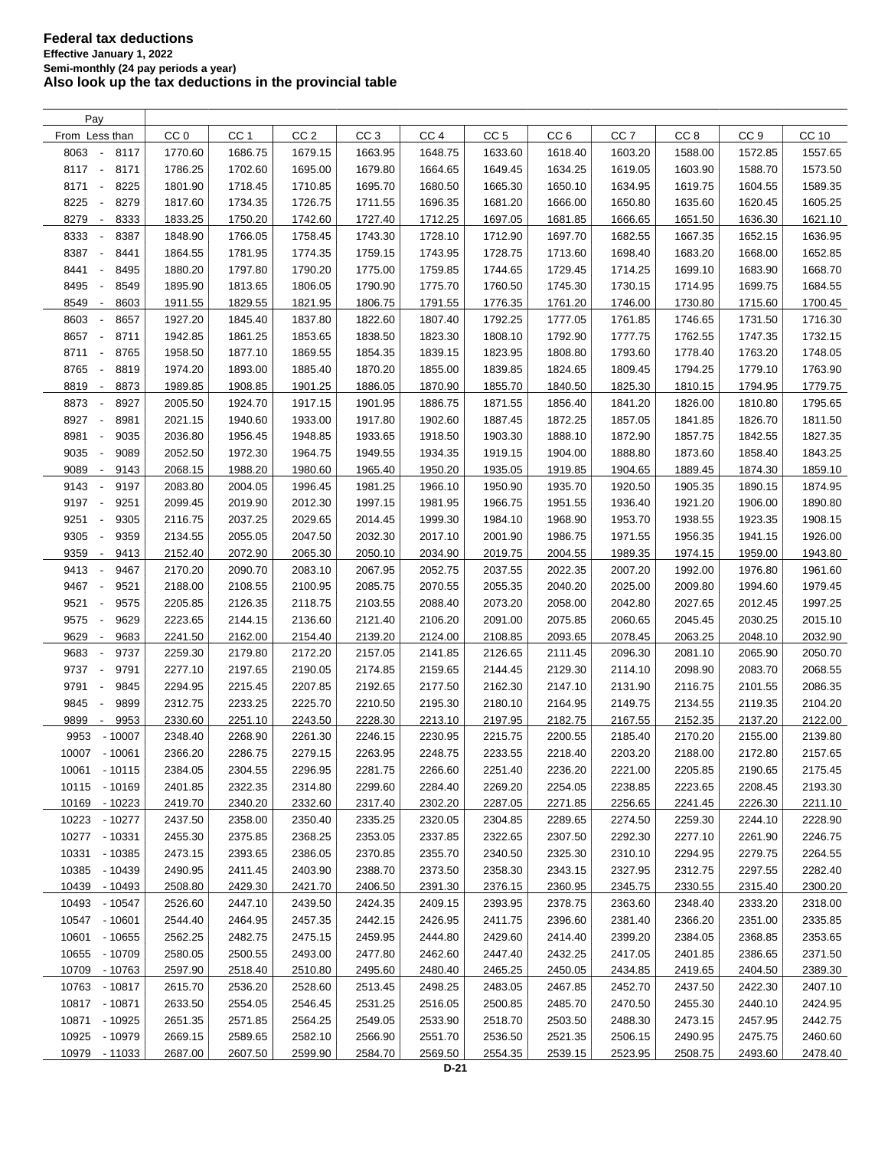| Pay                                                                  |                 |                 |                 |                 |                 |                 |                 |                 |                 |                 |         |
|----------------------------------------------------------------------|-----------------|-----------------|-----------------|-----------------|-----------------|-----------------|-----------------|-----------------|-----------------|-----------------|---------|
| From Less than                                                       | CC <sub>0</sub> | CC <sub>1</sub> | CC <sub>2</sub> | CC <sub>3</sub> | CC <sub>4</sub> | CC <sub>5</sub> | CC <sub>6</sub> | CC <sub>7</sub> | CC <sub>8</sub> | CC <sub>9</sub> | CC 10   |
| 8063<br>8117<br>$\overline{\phantom{a}}$                             | 1770.60         | 1686.75         | 1679.15         | 1663.95         | 1648.75         | 1633.60         | 1618.40         | 1603.20         | 1588.00         | 1572.85         | 1557.65 |
| 8117 -<br>8171                                                       | 1786.25         | 1702.60         | 1695.00         | 1679.80         | 1664.65         | 1649.45         | 1634.25         | 1619.05         | 1603.90         | 1588.70         | 1573.50 |
| 8171<br>8225<br>$\overline{\phantom{a}}$                             | 1801.90         | 1718.45         | 1710.85         | 1695.70         | 1680.50         | 1665.30         | 1650.10         | 1634.95         | 1619.75         | 1604.55         | 1589.35 |
| 8225<br>8279<br>÷,                                                   | 1817.60         | 1734.35         | 1726.75         | 1711.55         | 1696.35         | 1681.20         | 1666.00         | 1650.80         | 1635.60         | 1620.45         | 1605.25 |
| 8279<br>8333<br>$\overline{\phantom{a}}$                             | 1833.25         | 1750.20         | 1742.60         | 1727.40         | 1712.25         | 1697.05         | 1681.85         | 1666.65         | 1651.50         | 1636.30         | 1621.10 |
| 8333<br>$\overline{\phantom{a}}$<br>8387                             | 1848.90         | 1766.05         | 1758.45         | 1743.30         | 1728.10         | 1712.90         | 1697.70         | 1682.55         | 1667.35         | 1652.15         | 1636.95 |
| 8387<br>$\overline{\phantom{a}}$<br>8441                             | 1864.55         | 1781.95         | 1774.35         | 1759.15         | 1743.95         | 1728.75         | 1713.60         | 1698.40         | 1683.20         | 1668.00         | 1652.85 |
| 8441<br>8495<br>$\overline{\phantom{a}}$                             | 1880.20         | 1797.80         | 1790.20         | 1775.00         | 1759.85         | 1744.65         | 1729.45         | 1714.25         | 1699.10         | 1683.90         | 1668.70 |
| 8495<br>8549<br>$\overline{\phantom{a}}$                             | 1895.90         | 1813.65         | 1806.05         | 1790.90         | 1775.70         | 1760.50         | 1745.30         | 1730.15         | 1714.95         | 1699.75         | 1684.55 |
| 8549<br>8603<br>$\overline{\phantom{a}}$                             | 1911.55         | 1829.55         | 1821.95         | 1806.75         | 1791.55         | 1776.35         | 1761.20         | 1746.00         | 1730.80         | 1715.60         | 1700.45 |
| 8603<br>8657<br>÷,                                                   | 1927.20         | 1845.40         | 1837.80         | 1822.60         | 1807.40         | 1792.25         | 1777.05         | 1761.85         | 1746.65         | 1731.50         | 1716.30 |
| 8657<br>8711<br>$\overline{\phantom{a}}$                             | 1942.85         | 1861.25         | 1853.65         | 1838.50         | 1823.30         | 1808.10         | 1792.90         | 1777.75         | 1762.55         | 1747.35         | 1732.15 |
| 8711<br>8765<br>$\overline{\phantom{a}}$                             | 1958.50         | 1877.10         | 1869.55         | 1854.35         | 1839.15         | 1823.95         | 1808.80         | 1793.60         | 1778.40         | 1763.20         | 1748.05 |
| 8765<br>8819<br>$\overline{\phantom{a}}$                             | 1974.20         | 1893.00         | 1885.40         | 1870.20         | 1855.00         | 1839.85         | 1824.65         | 1809.45         | 1794.25         | 1779.10         | 1763.90 |
|                                                                      |                 |                 |                 |                 |                 |                 |                 |                 |                 |                 |         |
| 8819<br>8873<br>$\overline{\phantom{a}}$<br>$\overline{\phantom{a}}$ | 1989.85         | 1908.85         | 1901.25         | 1886.05         | 1870.90         | 1855.70         | 1840.50         | 1825.30         | 1810.15         | 1794.95         | 1779.75 |
| 8873<br>8927                                                         | 2005.50         | 1924.70         | 1917.15         | 1901.95         | 1886.75         | 1871.55         | 1856.40         | 1841.20         | 1826.00         | 1810.80         | 1795.65 |
| 8927<br>8981<br>$\overline{\phantom{a}}$                             | 2021.15         | 1940.60         | 1933.00         | 1917.80         | 1902.60         | 1887.45         | 1872.25         | 1857.05         | 1841.85         | 1826.70         | 1811.50 |
| 8981<br>9035<br>$\blacksquare$                                       | 2036.80         | 1956.45         | 1948.85         | 1933.65         | 1918.50         | 1903.30         | 1888.10         | 1872.90         | 1857.75         | 1842.55         | 1827.35 |
| 9035<br>9089<br>$\blacksquare$                                       | 2052.50         | 1972.30         | 1964.75         | 1949.55         | 1934.35         | 1919.15         | 1904.00         | 1888.80         | 1873.60         | 1858.40         | 1843.25 |
| 9089<br>$\overline{\phantom{a}}$<br>9143                             | 2068.15         | 1988.20         | 1980.60         | 1965.40         | 1950.20         | 1935.05         | 1919.85         | 1904.65         | 1889.45         | 1874.30         | 1859.10 |
| 9143<br>$\overline{\phantom{a}}$<br>9197                             | 2083.80         | 2004.05         | 1996.45         | 1981.25         | 1966.10         | 1950.90         | 1935.70         | 1920.50         | 1905.35         | 1890.15         | 1874.95 |
| 9197<br>9251<br>$\overline{\phantom{a}}$                             | 2099.45         | 2019.90         | 2012.30         | 1997.15         | 1981.95         | 1966.75         | 1951.55         | 1936.40         | 1921.20         | 1906.00         | 1890.80 |
| 9251<br>9305<br>$\overline{\phantom{a}}$                             | 2116.75         | 2037.25         | 2029.65         | 2014.45         | 1999.30         | 1984.10         | 1968.90         | 1953.70         | 1938.55         | 1923.35         | 1908.15 |
| 9305<br>9359<br>$\overline{\phantom{a}}$                             | 2134.55         | 2055.05         | 2047.50         | 2032.30         | 2017.10         | 2001.90         | 1986.75         | 1971.55         | 1956.35         | 1941.15         | 1926.00 |
| 9359<br>9413<br>$\overline{\phantom{a}}$                             | 2152.40         | 2072.90         | 2065.30         | 2050.10         | 2034.90         | 2019.75         | 2004.55         | 1989.35         | 1974.15         | 1959.00         | 1943.80 |
| 9413<br>9467<br>$\overline{\phantom{a}}$                             | 2170.20         | 2090.70         | 2083.10         | 2067.95         | 2052.75         | 2037.55         | 2022.35         | 2007.20         | 1992.00         | 1976.80         | 1961.60 |
| 9467<br>9521                                                         | 2188.00         | 2108.55         | 2100.95         | 2085.75         | 2070.55         | 2055.35         | 2040.20         | 2025.00         | 2009.80         | 1994.60         | 1979.45 |
| 9521<br>9575<br>÷,                                                   | 2205.85         | 2126.35         | 2118.75         | 2103.55         | 2088.40         | 2073.20         | 2058.00         | 2042.80         | 2027.65         | 2012.45         | 1997.25 |
| 9575<br>9629<br>$\overline{\phantom{a}}$                             | 2223.65         | 2144.15         | 2136.60         | 2121.40         | 2106.20         | 2091.00         | 2075.85         | 2060.65         | 2045.45         | 2030.25         | 2015.10 |
| 9629<br>9683<br>$\overline{\phantom{a}}$                             | 2241.50         | 2162.00         | 2154.40         | 2139.20         | 2124.00         | 2108.85         | 2093.65         | 2078.45         | 2063.25         | 2048.10         | 2032.90 |
| 9683<br>9737<br>$\blacksquare$                                       | 2259.30         | 2179.80         | 2172.20         | 2157.05         | 2141.85         | 2126.65         | 2111.45         | 2096.30         | 2081.10         | 2065.90         | 2050.70 |
| 9737<br>9791<br>$\overline{\phantom{a}}$                             | 2277.10         | 2197.65         | 2190.05         | 2174.85         | 2159.65         | 2144.45         | 2129.30         | 2114.10         | 2098.90         | 2083.70         | 2068.55 |
| 9791<br>9845<br>$\overline{\phantom{a}}$                             | 2294.95         | 2215.45         | 2207.85         | 2192.65         | 2177.50         | 2162.30         | 2147.10         | 2131.90         | 2116.75         | 2101.55         | 2086.35 |
| 9845<br>9899<br>$\overline{\phantom{a}}$                             | 2312.75         | 2233.25         | 2225.70         | 2210.50         | 2195.30         | 2180.10         | 2164.95         | 2149.75         | 2134.55         | 2119.35         | 2104.20 |
| 9899<br>9953<br>$\overline{\phantom{a}}$                             | 2330.60         | 2251.10         | 2243.50         | 2228.30         | 2213.10         | 2197.95         | 2182.75         | 2167.55         | 2152.35         | 2137.20         | 2122.00 |
| 9953<br>$-10007$                                                     | 2348.40         | 2268.90         | 2261.30         | 2246.15         | 2230.95         | 2215.75         | 2200.55         | 2185.40         | 2170.20         | 2155.00         | 2139.80 |
| 10007 - 10061                                                        | 2366.20         | 2286.75         | 2279.15         | 2263.95         | 2248.75         | 2233.55         | 2218.40         | 2203.20         | 2188.00         | 2172.80         | 2157.65 |
| 10061 - 10115                                                        | 2384.05         | 2304.55         | 2296.95         | 2281.75         | 2266.60         | 2251.40         | 2236.20         | 2221.00         | 2205.85         | 2190.65         | 2175.45 |
| 10115 - 10169                                                        | 2401.85         | 2322.35         | 2314.80         | 2299.60         | 2284.40         | 2269.20         | 2254.05         | 2238.85         | 2223.65         | 2208.45         | 2193.30 |
| 10169<br>- 10223                                                     | 2419.70         | 2340.20         | 2332.60         | 2317.40         | 2302.20         | 2287.05         | 2271.85         | 2256.65         | 2241.45         | 2226.30         | 2211.10 |
| 10223<br>- 10277                                                     | 2437.50         | 2358.00         | 2350.40         | 2335.25         | 2320.05         | 2304.85         | 2289.65         | 2274.50         | 2259.30         | 2244.10         | 2228.90 |
| 10277 - 10331                                                        | 2455.30         | 2375.85         | 2368.25         | 2353.05         | 2337.85         | 2322.65         | 2307.50         | 2292.30         | 2277.10         | 2261.90         | 2246.75 |
| 10331<br>$-10385$                                                    | 2473.15         | 2393.65         | 2386.05         | 2370.85         | 2355.70         | 2340.50         | 2325.30         | 2310.10         | 2294.95         | 2279.75         | 2264.55 |
| 10385<br>- 10439                                                     | 2490.95         | 2411.45         | 2403.90         | 2388.70         | 2373.50         | 2358.30         | 2343.15         | 2327.95         | 2312.75         | 2297.55         | 2282.40 |
| 10439<br>- 10493                                                     | 2508.80         | 2429.30         | 2421.70         | 2406.50         | 2391.30         | 2376.15         | 2360.95         | 2345.75         | 2330.55         | 2315.40         | 2300.20 |
| 10493 - 10547                                                        | 2526.60         | 2447.10         | 2439.50         | 2424.35         | 2409.15         | 2393.95         | 2378.75         | 2363.60         | 2348.40         | 2333.20         | 2318.00 |
| 10547 - 10601                                                        | 2544.40         | 2464.95         | 2457.35         | 2442.15         | 2426.95         | 2411.75         | 2396.60         | 2381.40         | 2366.20         | 2351.00         | 2335.85 |
| 10601 - 10655                                                        | 2562.25         | 2482.75         | 2475.15         | 2459.95         | 2444.80         | 2429.60         | 2414.40         | 2399.20         | 2384.05         | 2368.85         | 2353.65 |
| 10655 - 10709                                                        | 2580.05         | 2500.55         | 2493.00         | 2477.80         | 2462.60         | 2447.40         | 2432.25         | 2417.05         | 2401.85         | 2386.65         | 2371.50 |
| 10709 - 10763                                                        | 2597.90         | 2518.40         | 2510.80         | 2495.60         | 2480.40         | 2465.25         | 2450.05         | 2434.85         | 2419.65         | 2404.50         | 2389.30 |
| 10763 - 10817                                                        | 2615.70         | 2536.20         | 2528.60         | 2513.45         | 2498.25         | 2483.05         | 2467.85         | 2452.70         | 2437.50         | 2422.30         | 2407.10 |
| 10817 - 10871                                                        | 2633.50         | 2554.05         | 2546.45         | 2531.25         | 2516.05         | 2500.85         | 2485.70         | 2470.50         | 2455.30         | 2440.10         | 2424.95 |
| 10871<br>$-10925$                                                    | 2651.35         | 2571.85         | 2564.25         | 2549.05         | 2533.90         | 2518.70         | 2503.50         | 2488.30         | 2473.15         | 2457.95         | 2442.75 |
| 10925<br>- 10979                                                     | 2669.15         | 2589.65         | 2582.10         | 2566.90         | 2551.70         | 2536.50         | 2521.35         | 2506.15         | 2490.95         | 2475.75         | 2460.60 |
| 10979 - 11033                                                        | 2687.00         | 2607.50         | 2599.90         | 2584.70         | 2569.50         | 2554.35         | 2539.15         | 2523.95         | 2508.75         | 2493.60         | 2478.40 |
|                                                                      |                 |                 |                 |                 |                 |                 |                 |                 |                 |                 |         |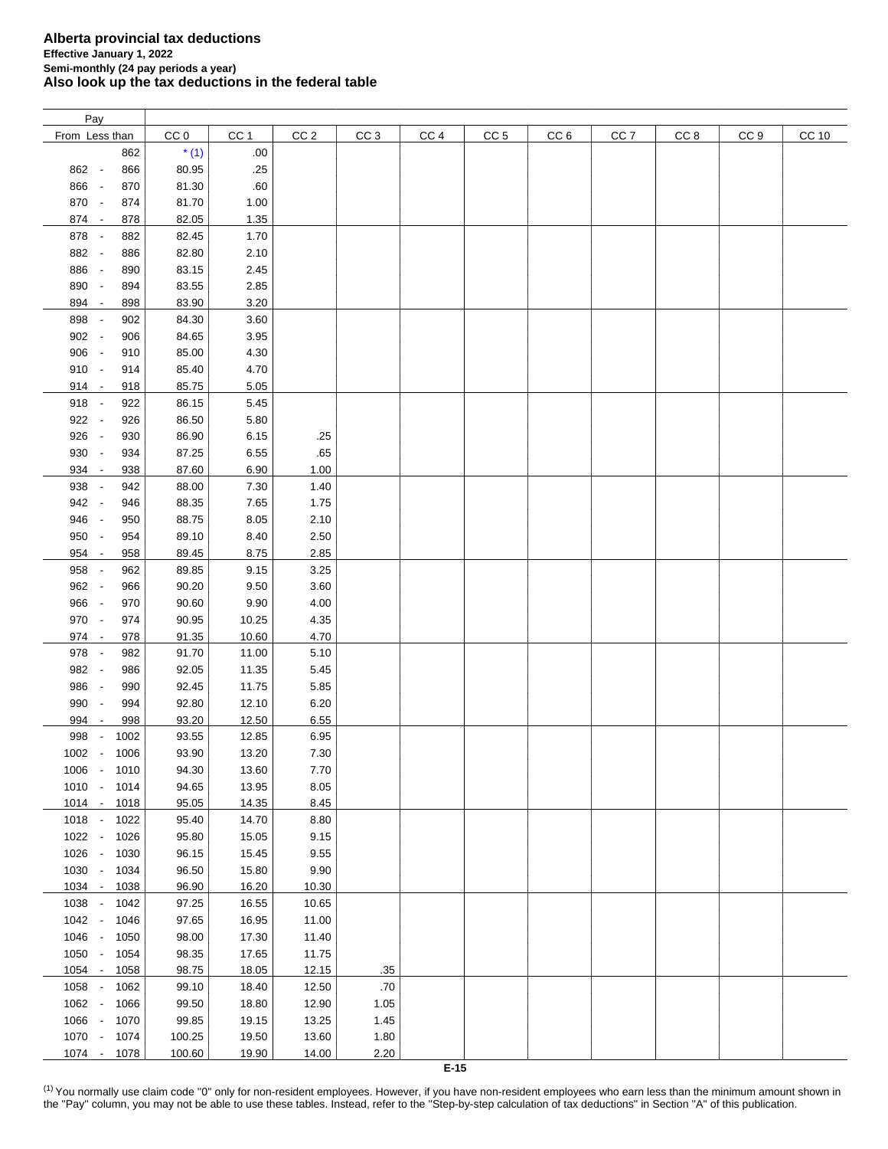| Pay                             |      |                 |                 |                 |                 |                 |                 |                 |                 |      |                 |       |
|---------------------------------|------|-----------------|-----------------|-----------------|-----------------|-----------------|-----------------|-----------------|-----------------|------|-----------------|-------|
| From Less than                  |      | CC <sub>0</sub> | CC <sub>1</sub> | CC <sub>2</sub> | CC <sub>3</sub> | CC <sub>4</sub> | CC <sub>5</sub> | CC <sub>6</sub> | CC <sub>7</sub> | CC 8 | CC <sub>9</sub> | CC 10 |
|                                 | 862  | $*(1)$          | .00.            |                 |                 |                 |                 |                 |                 |      |                 |       |
| 862 -                           | 866  | 80.95           | .25             |                 |                 |                 |                 |                 |                 |      |                 |       |
| 866 -                           | 870  | 81.30           | .60             |                 |                 |                 |                 |                 |                 |      |                 |       |
|                                 |      |                 |                 |                 |                 |                 |                 |                 |                 |      |                 |       |
| 870 -                           | 874  | 81.70           | 1.00            |                 |                 |                 |                 |                 |                 |      |                 |       |
| 874 -                           | 878  | 82.05           | 1.35            |                 |                 |                 |                 |                 |                 |      |                 |       |
| 878 -                           | 882  | 82.45           | 1.70            |                 |                 |                 |                 |                 |                 |      |                 |       |
| 882 -                           | 886  | 82.80           | 2.10            |                 |                 |                 |                 |                 |                 |      |                 |       |
| 886 -                           | 890  | 83.15           | 2.45            |                 |                 |                 |                 |                 |                 |      |                 |       |
| 890<br>$\sim$                   | 894  | 83.55           | 2.85            |                 |                 |                 |                 |                 |                 |      |                 |       |
| 894 -                           | 898  | 83.90           | 3.20            |                 |                 |                 |                 |                 |                 |      |                 |       |
| 898<br>$\sim$                   | 902  | 84.30           | 3.60            |                 |                 |                 |                 |                 |                 |      |                 |       |
| 902 -                           |      |                 |                 |                 |                 |                 |                 |                 |                 |      |                 |       |
|                                 | 906  | 84.65           | 3.95            |                 |                 |                 |                 |                 |                 |      |                 |       |
| 906 -                           | 910  | 85.00           | 4.30            |                 |                 |                 |                 |                 |                 |      |                 |       |
| $910 -$                         | 914  | 85.40           | 4.70            |                 |                 |                 |                 |                 |                 |      |                 |       |
| $914 -$                         | 918  | 85.75           | 5.05            |                 |                 |                 |                 |                 |                 |      |                 |       |
| 918 -                           | 922  | 86.15           | 5.45            |                 |                 |                 |                 |                 |                 |      |                 |       |
| 922 -                           | 926  | 86.50           | 5.80            |                 |                 |                 |                 |                 |                 |      |                 |       |
| 926 -                           | 930  | 86.90           | 6.15            | .25             |                 |                 |                 |                 |                 |      |                 |       |
| 930 -                           | 934  | 87.25           | 6.55            | .65             |                 |                 |                 |                 |                 |      |                 |       |
| 934 -                           | 938  | 87.60           | 6.90            | 1.00            |                 |                 |                 |                 |                 |      |                 |       |
| 938 -                           | 942  |                 |                 |                 |                 |                 |                 |                 |                 |      |                 |       |
|                                 |      | 88.00           | 7.30            | 1.40            |                 |                 |                 |                 |                 |      |                 |       |
| 942 -                           | 946  | 88.35           | 7.65            | 1.75            |                 |                 |                 |                 |                 |      |                 |       |
| 946<br>$\sim$                   | 950  | 88.75           | 8.05            | 2.10            |                 |                 |                 |                 |                 |      |                 |       |
| 950 -                           | 954  | 89.10           | 8.40            | 2.50            |                 |                 |                 |                 |                 |      |                 |       |
| $954 -$                         | 958  | 89.45           | 8.75            | 2.85            |                 |                 |                 |                 |                 |      |                 |       |
| 958 -                           | 962  | 89.85           | 9.15            | 3.25            |                 |                 |                 |                 |                 |      |                 |       |
| 962 -                           | 966  | 90.20           | 9.50            | 3.60            |                 |                 |                 |                 |                 |      |                 |       |
| 966 -                           | 970  | 90.60           | 9.90            | 4.00            |                 |                 |                 |                 |                 |      |                 |       |
| 970 -                           | 974  | 90.95           | 10.25           | 4.35            |                 |                 |                 |                 |                 |      |                 |       |
| 974 -                           | 978  | 91.35           | 10.60           | 4.70            |                 |                 |                 |                 |                 |      |                 |       |
|                                 |      |                 |                 |                 |                 |                 |                 |                 |                 |      |                 |       |
| 978 -                           | 982  | 91.70           | 11.00           | 5.10            |                 |                 |                 |                 |                 |      |                 |       |
| 982 -                           | 986  | 92.05           | 11.35           | 5.45            |                 |                 |                 |                 |                 |      |                 |       |
| 986 -                           | 990  | 92.45           | 11.75           | 5.85            |                 |                 |                 |                 |                 |      |                 |       |
| 990 -                           | 994  | 92.80           | 12.10           | 6.20            |                 |                 |                 |                 |                 |      |                 |       |
| 994<br>$\overline{\phantom{a}}$ | 998  | 93.20           | 12.50           | 6.55            |                 |                 |                 |                 |                 |      |                 |       |
| 998                             | 1002 | 93.55           | 12.85           | 6.95            |                 |                 |                 |                 |                 |      |                 |       |
| 1002 -                          | 1006 | 93.90           | 13.20           | 7.30            |                 |                 |                 |                 |                 |      |                 |       |
| 1006 - 1010                     |      | 94.30           | 13.60           | 7.70            |                 |                 |                 |                 |                 |      |                 |       |
| 1010 - 1014                     |      | 94.65           | 13.95           | 8.05            |                 |                 |                 |                 |                 |      |                 |       |
|                                 |      |                 |                 | 8.45            |                 |                 |                 |                 |                 |      |                 |       |
| 1014 - 1018                     |      | 95.05           | 14.35           |                 |                 |                 |                 |                 |                 |      |                 |       |
| 1018 - 1022                     |      | 95.40           | 14.70           | 8.80            |                 |                 |                 |                 |                 |      |                 |       |
| 1022 -                          | 1026 | 95.80           | 15.05           | 9.15            |                 |                 |                 |                 |                 |      |                 |       |
| 1026 -                          | 1030 | 96.15           | 15.45           | 9.55            |                 |                 |                 |                 |                 |      |                 |       |
| 1030 -                          | 1034 | 96.50           | 15.80           | 9.90            |                 |                 |                 |                 |                 |      |                 |       |
| 1034 -                          | 1038 | 96.90           | 16.20           | 10.30           |                 |                 |                 |                 |                 |      |                 |       |
| 1038 -                          | 1042 | 97.25           | 16.55           | 10.65           |                 |                 |                 |                 |                 |      |                 |       |
| $1042 -$                        | 1046 | 97.65           | 16.95           | 11.00           |                 |                 |                 |                 |                 |      |                 |       |
| 1046 -                          | 1050 | 98.00           | 17.30           | 11.40           |                 |                 |                 |                 |                 |      |                 |       |
| 1050 -                          | 1054 | 98.35           | 17.65           | 11.75           |                 |                 |                 |                 |                 |      |                 |       |
|                                 |      |                 |                 |                 |                 |                 |                 |                 |                 |      |                 |       |
| $1054 -$                        | 1058 | 98.75           | 18.05           | 12.15           | .35             |                 |                 |                 |                 |      |                 |       |
| 1058 -                          | 1062 | 99.10           | 18.40           | 12.50           | .70             |                 |                 |                 |                 |      |                 |       |
| 1062 -                          | 1066 | 99.50           | 18.80           | 12.90           | 1.05            |                 |                 |                 |                 |      |                 |       |
| 1066 -                          | 1070 | 99.85           | 19.15           | 13.25           | 1.45            |                 |                 |                 |                 |      |                 |       |
| 1070 -                          | 1074 | 100.25          | 19.50           | 13.60           | 1.80            |                 |                 |                 |                 |      |                 |       |
| 1074 - 1078                     |      | 100.60          | 19.90           | 14.00           | 2.20            |                 |                 |                 |                 |      |                 |       |
|                                 |      |                 |                 |                 |                 | $E-15$          |                 |                 |                 |      |                 |       |

<span id="page-7-0"></span><sup>(1)</sup> You normally use claim code "0" only for non-resident employees. However, if you have non-resident employees who earn less than the minimum amount shown in the "Pay" column, you may not be able to use these tables. Instead, refer to the "Step-by-step calculation of tax deductions" in Section "A" of this publication.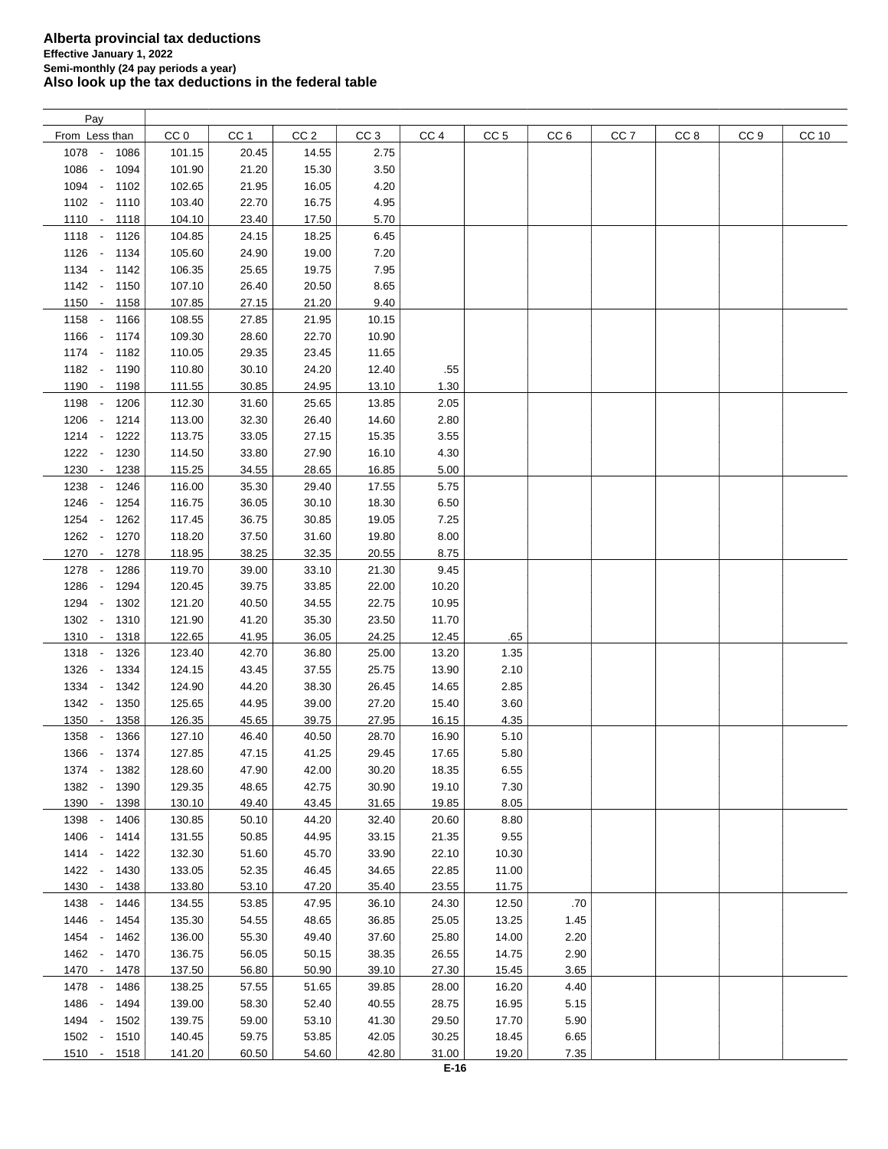| Pay                                      |                 |       |                 |                 |                 |                 |                 |                 |                 |                 |       |
|------------------------------------------|-----------------|-------|-----------------|-----------------|-----------------|-----------------|-----------------|-----------------|-----------------|-----------------|-------|
| From Less than                           | CC <sub>0</sub> | CC 1  | CC <sub>2</sub> | CC <sub>3</sub> | CC <sub>4</sub> | CC <sub>5</sub> | CC <sub>6</sub> | CC <sub>7</sub> | CC <sub>8</sub> | CC <sub>9</sub> | CC 10 |
| 1078 -<br>1086                           | 101.15          | 20.45 | 14.55           | 2.75            |                 |                 |                 |                 |                 |                 |       |
| 1086<br>1094<br>$\overline{\phantom{a}}$ | 101.90          | 21.20 | 15.30           | 3.50            |                 |                 |                 |                 |                 |                 |       |
| 1094 -<br>1102                           | 102.65          | 21.95 | 16.05           | 4.20            |                 |                 |                 |                 |                 |                 |       |
| $1102 -$<br>1110                         | 103.40          | 22.70 | 16.75           | 4.95            |                 |                 |                 |                 |                 |                 |       |
|                                          |                 |       | 17.50           | 5.70            |                 |                 |                 |                 |                 |                 |       |
| $1110 -$<br>1118                         | 104.10          | 23.40 |                 |                 |                 |                 |                 |                 |                 |                 |       |
| 1118 - 1126                              | 104.85          | 24.15 | 18.25           | 6.45            |                 |                 |                 |                 |                 |                 |       |
| 1126 - 1134                              | 105.60          | 24.90 | 19.00           | 7.20            |                 |                 |                 |                 |                 |                 |       |
| 1134 - 1142                              | 106.35          | 25.65 | 19.75           | 7.95            |                 |                 |                 |                 |                 |                 |       |
| 1142 - 1150                              | 107.10          | 26.40 | 20.50           | 8.65            |                 |                 |                 |                 |                 |                 |       |
| 1150 - 1158                              | 107.85          | 27.15 | 21.20           | 9.40            |                 |                 |                 |                 |                 |                 |       |
| 1158 -<br>1166                           | 108.55          | 27.85 | 21.95           | 10.15           |                 |                 |                 |                 |                 |                 |       |
| 1166 -<br>1174                           | 109.30          | 28.60 | 22.70           | 10.90           |                 |                 |                 |                 |                 |                 |       |
| 1174 -<br>1182                           | 110.05          | 29.35 | 23.45           | 11.65           |                 |                 |                 |                 |                 |                 |       |
| 1182 -<br>1190                           | 110.80          | 30.10 | 24.20           | 12.40           | .55             |                 |                 |                 |                 |                 |       |
| 1190 -<br>1198                           | 111.55          | 30.85 | 24.95           | 13.10           | 1.30            |                 |                 |                 |                 |                 |       |
| 1198 -<br>1206                           | 112.30          | 31.60 | 25.65           | 13.85           | 2.05            |                 |                 |                 |                 |                 |       |
| 1206 -<br>1214                           | 113.00          | 32.30 | 26.40           | 14.60           | 2.80            |                 |                 |                 |                 |                 |       |
| $1214 -$                                 |                 |       |                 | 15.35           | 3.55            |                 |                 |                 |                 |                 |       |
| 1222                                     | 113.75          | 33.05 | 27.15           |                 |                 |                 |                 |                 |                 |                 |       |
| 1222 -<br>1230                           | 114.50          | 33.80 | 27.90           | 16.10           | 4.30            |                 |                 |                 |                 |                 |       |
| 1230<br>1238<br>$\sim$                   | 115.25          | 34.55 | 28.65           | 16.85           | 5.00            |                 |                 |                 |                 |                 |       |
| 1238<br>$\sim$<br>1246                   | 116.00          | 35.30 | 29.40           | 17.55           | 5.75            |                 |                 |                 |                 |                 |       |
| 1246<br>1254<br>$\sim$                   | 116.75          | 36.05 | 30.10           | 18.30           | 6.50            |                 |                 |                 |                 |                 |       |
| 1254 -<br>1262                           | 117.45          | 36.75 | 30.85           | 19.05           | 7.25            |                 |                 |                 |                 |                 |       |
| 1262 -<br>1270                           | 118.20          | 37.50 | 31.60           | 19.80           | 8.00            |                 |                 |                 |                 |                 |       |
| 1270 -<br>1278                           | 118.95          | 38.25 | 32.35           | 20.55           | 8.75            |                 |                 |                 |                 |                 |       |
| 1278<br>1286<br>$\overline{\phantom{a}}$ | 119.70          | 39.00 | 33.10           | 21.30           | 9.45            |                 |                 |                 |                 |                 |       |
| 1286<br>1294<br>$\overline{\phantom{a}}$ | 120.45          | 39.75 | 33.85           | 22.00           | 10.20           |                 |                 |                 |                 |                 |       |
| 1294<br>1302<br>$\overline{\phantom{a}}$ | 121.20          | 40.50 | 34.55           | 22.75           | 10.95           |                 |                 |                 |                 |                 |       |
| 1302 -<br>1310                           | 121.90          | 41.20 | 35.30           | 23.50           | 11.70           |                 |                 |                 |                 |                 |       |
| $1310 -$<br>1318                         | 122.65          | 41.95 | 36.05           | 24.25           | 12.45           | .65             |                 |                 |                 |                 |       |
| 1318 -                                   |                 |       |                 |                 |                 |                 |                 |                 |                 |                 |       |
| 1326                                     | 123.40          | 42.70 | 36.80           | 25.00           | 13.20           | 1.35            |                 |                 |                 |                 |       |
| 1326<br>1334<br>$\sim$ $-$               | 124.15          | 43.45 | 37.55           | 25.75           | 13.90           | 2.10            |                 |                 |                 |                 |       |
| 1334 -<br>1342                           | 124.90          | 44.20 | 38.30           | 26.45           | 14.65           | 2.85            |                 |                 |                 |                 |       |
| 1342 -<br>1350                           | 125.65          | 44.95 | 39.00           | 27.20           | 15.40           | 3.60            |                 |                 |                 |                 |       |
| 1350<br>1358<br>$\sim$                   | 126.35          | 45.65 | 39.75           | 27.95           | 16.15           | 4.35            |                 |                 |                 |                 |       |
| 1358<br>1366                             | 127.10          | 46.40 | 40.50           | 28.70           | 16.90           | 5.10            |                 |                 |                 |                 |       |
| 1366 - 1374                              | 127.85          | 47.15 | 41.25           | 29.45           | 17.65           | 5.80            |                 |                 |                 |                 |       |
| 1374 -<br>1382                           | 128.60          | 47.90 | 42.00           | 30.20           | 18.35           | 6.55            |                 |                 |                 |                 |       |
| 1382 -<br>1390                           | 129.35          | 48.65 | 42.75           | 30.90           | 19.10           | 7.30            |                 |                 |                 |                 |       |
| 1390 -<br>1398                           | 130.10          | 49.40 | 43.45           | 31.65           | 19.85           | 8.05            |                 |                 |                 |                 |       |
| 1398 -<br>1406                           | 130.85          | 50.10 | 44.20           | 32.40           | 20.60           | 8.80            |                 |                 |                 |                 |       |
| 1406 -<br>1414                           | 131.55          | 50.85 | 44.95           | 33.15           | 21.35           | 9.55            |                 |                 |                 |                 |       |
| $1414 -$<br>1422                         | 132.30          | 51.60 | 45.70           | 33.90           | 22.10           | 10.30           |                 |                 |                 |                 |       |
| 1422 -<br>1430                           | 133.05          | 52.35 | 46.45           | 34.65           | 22.85           | 11.00           |                 |                 |                 |                 |       |
| 1430 -<br>1438                           | 133.80          | 53.10 | 47.20           | 35.40           | 23.55           | 11.75           |                 |                 |                 |                 |       |
| 1438 -                                   |                 |       |                 | 36.10           |                 |                 |                 |                 |                 |                 |       |
| 1446                                     | 134.55          | 53.85 | 47.95           |                 | 24.30           | 12.50           | .70             |                 |                 |                 |       |
| 1446 -<br>1454                           | 135.30          | 54.55 | 48.65           | 36.85           | 25.05           | 13.25           | 1.45            |                 |                 |                 |       |
| 1454 -<br>1462                           | 136.00          | 55.30 | 49.40           | 37.60           | 25.80           | 14.00           | 2.20            |                 |                 |                 |       |
| 1462 -<br>1470                           | 136.75          | 56.05 | 50.15           | 38.35           | 26.55           | 14.75           | 2.90            |                 |                 |                 |       |
| 1470 -<br>1478                           | 137.50          | 56.80 | 50.90           | 39.10           | 27.30           | 15.45           | 3.65            |                 |                 |                 |       |
| 1478 -<br>1486                           | 138.25          | 57.55 | 51.65           | 39.85           | 28.00           | 16.20           | 4.40            |                 |                 |                 |       |
| 1486 -<br>1494                           | 139.00          | 58.30 | 52.40           | 40.55           | 28.75           | 16.95           | 5.15            |                 |                 |                 |       |
| 1494 -<br>1502                           | 139.75          | 59.00 | 53.10           | 41.30           | 29.50           | 17.70           | 5.90            |                 |                 |                 |       |
| 1502 -<br>1510                           | 140.45          | 59.75 | 53.85           | 42.05           | 30.25           | 18.45           | 6.65            |                 |                 |                 |       |
| $1510 -$<br>1518                         | 141.20          | 60.50 | 54.60           | 42.80           | 31.00           | 19.20           | 7.35            |                 |                 |                 |       |
|                                          |                 |       |                 |                 |                 |                 |                 |                 |                 |                 |       |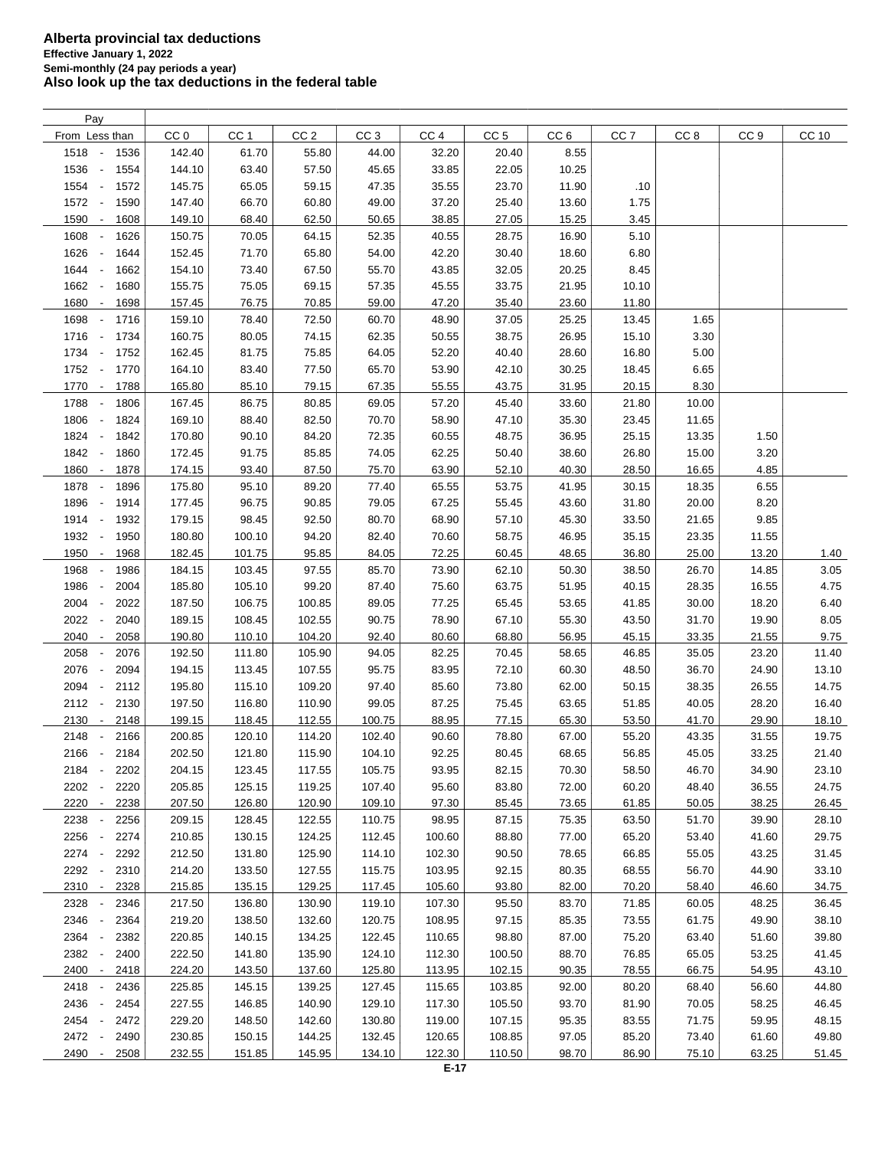| Pay                                      |                 |                 |                 |                 |                 |                 |                 |                 |                 |                 |       |
|------------------------------------------|-----------------|-----------------|-----------------|-----------------|-----------------|-----------------|-----------------|-----------------|-----------------|-----------------|-------|
| From Less than                           | CC <sub>0</sub> | CC <sub>1</sub> | CC <sub>2</sub> | CC <sub>3</sub> | CC <sub>4</sub> | CC <sub>5</sub> | CC <sub>6</sub> | CC <sub>7</sub> | CC <sub>8</sub> | CC <sub>9</sub> | CC 10 |
| 1518 -<br>1536                           | 142.40          | 61.70           | 55.80           | 44.00           | 32.20           | 20.40           | 8.55            |                 |                 |                 |       |
| 1536<br>1554<br>$\sim$                   | 144.10          | 63.40           | 57.50           | 45.65           | 33.85           | 22.05           | 10.25           |                 |                 |                 |       |
| 1554<br>1572<br>$\sim$                   | 145.75          | 65.05           | 59.15           | 47.35           | 35.55           | 23.70           | 11.90           | .10             |                 |                 |       |
| 1572<br>1590<br>$\sim$                   | 147.40          | 66.70           | 60.80           | 49.00           | 37.20           | 25.40           | 13.60           | 1.75            |                 |                 |       |
| 1590<br>1608<br>$\overline{\phantom{a}}$ | 149.10          | 68.40           | 62.50           | 50.65           | 38.85           | 27.05           | 15.25           | 3.45            |                 |                 |       |
| 1608                                     |                 | 70.05           |                 |                 |                 |                 |                 | 5.10            |                 |                 |       |
| 1626                                     | 150.75          |                 | 64.15           | 52.35           | 40.55           | 28.75           | 16.90           |                 |                 |                 |       |
| 1626<br>1644<br>$\overline{\phantom{a}}$ | 152.45          | 71.70           | 65.80           | 54.00           | 42.20           | 30.40           | 18.60           | 6.80            |                 |                 |       |
| 1644 -<br>1662                           | 154.10          | 73.40           | 67.50           | 55.70           | 43.85           | 32.05           | 20.25           | 8.45            |                 |                 |       |
| 1662<br>$\sim$<br>1680                   | 155.75          | 75.05           | 69.15           | 57.35           | 45.55           | 33.75           | 21.95           | 10.10           |                 |                 |       |
| 1680<br>1698<br>$\overline{\phantom{a}}$ | 157.45          | 76.75           | 70.85           | 59.00           | 47.20           | 35.40           | 23.60           | 11.80           |                 |                 |       |
| 1698<br>1716<br>$\overline{\phantom{a}}$ | 159.10          | 78.40           | 72.50           | 60.70           | 48.90           | 37.05           | 25.25           | 13.45           | 1.65            |                 |       |
| 1716 -<br>1734                           | 160.75          | 80.05           | 74.15           | 62.35           | 50.55           | 38.75           | 26.95           | 15.10           | 3.30            |                 |       |
| 1734<br>1752<br>$\sim$                   | 162.45          | 81.75           | 75.85           | 64.05           | 52.20           | 40.40           | 28.60           | 16.80           | 5.00            |                 |       |
| 1752 -<br>1770                           | 164.10          | 83.40           | 77.50           | 65.70           | 53.90           | 42.10           | 30.25           | 18.45           | 6.65            |                 |       |
| 1770<br>1788<br>$\sim$                   | 165.80          | 85.10           | 79.15           | 67.35           | 55.55           | 43.75           | 31.95           | 20.15           | 8.30            |                 |       |
| 1788<br>1806                             | 167.45          | 86.75           | 80.85           | 69.05           | 57.20           | 45.40           | 33.60           | 21.80           | 10.00           |                 |       |
| 1806<br>1824                             | 169.10          | 88.40           | 82.50           | 70.70           | 58.90           | 47.10           | 35.30           | 23.45           | 11.65           |                 |       |
| 1824<br>1842<br>$\sim$                   | 170.80          | 90.10           | 84.20           | 72.35           | 60.55           | 48.75           | 36.95           | 25.15           | 13.35           | 1.50            |       |
| 1842<br>1860<br>$\sim$                   | 172.45          | 91.75           | 85.85           | 74.05           | 62.25           | 50.40           | 38.60           | 26.80           | 15.00           | 3.20            |       |
|                                          |                 |                 |                 |                 |                 |                 |                 |                 |                 |                 |       |
| 1860<br>1878<br>$\sim$                   | 174.15          | 93.40           | 87.50           | 75.70           | 63.90           | 52.10           | 40.30           | 28.50           | 16.65           | 4.85            |       |
| 1878 -<br>1896                           | 175.80          | 95.10           | 89.20           | 77.40           | 65.55           | 53.75           | 41.95           | 30.15           | 18.35           | 6.55            |       |
| 1896<br>$\sim$<br>1914                   | 177.45          | 96.75           | 90.85           | 79.05           | 67.25           | 55.45           | 43.60           | 31.80           | 20.00           | 8.20            |       |
| 1914 -<br>1932                           | 179.15          | 98.45           | 92.50           | 80.70           | 68.90           | 57.10           | 45.30           | 33.50           | 21.65           | 9.85            |       |
| 1932 -<br>1950                           | 180.80          | 100.10          | 94.20           | 82.40           | 70.60           | 58.75           | 46.95           | 35.15           | 23.35           | 11.55           |       |
| 1950<br>1968<br>$\overline{\phantom{a}}$ | 182.45          | 101.75          | 95.85           | 84.05           | 72.25           | 60.45           | 48.65           | 36.80           | 25.00           | 13.20           | 1.40  |
| 1968<br>1986                             | 184.15          | 103.45          | 97.55           | 85.70           | 73.90           | 62.10           | 50.30           | 38.50           | 26.70           | 14.85           | 3.05  |
| 1986<br>2004<br>$\overline{\phantom{a}}$ | 185.80          | 105.10          | 99.20           | 87.40           | 75.60           | 63.75           | 51.95           | 40.15           | 28.35           | 16.55           | 4.75  |
| 2004<br>2022                             | 187.50          | 106.75          | 100.85          | 89.05           | 77.25           | 65.45           | 53.65           | 41.85           | 30.00           | 18.20           | 6.40  |
| 2022<br>2040                             | 189.15          | 108.45          | 102.55          | 90.75           | 78.90           | 67.10           | 55.30           | 43.50           | 31.70           | 19.90           | 8.05  |
| 2040<br>2058<br>$\overline{\phantom{a}}$ | 190.80          | 110.10          | 104.20          | 92.40           | 80.60           | 68.80           | 56.95           | 45.15           | 33.35           | 21.55           | 9.75  |
| 2058<br>2076<br>$\overline{\phantom{a}}$ | 192.50          | 111.80          | 105.90          | 94.05           | 82.25           | 70.45           | 58.65           | 46.85           | 35.05           | 23.20           | 11.40 |
| 2076<br>2094<br>$\overline{\phantom{a}}$ | 194.15          | 113.45          | 107.55          | 95.75           | 83.95           | 72.10           | 60.30           | 48.50           | 36.70           | 24.90           | 13.10 |
| 2094<br>2112<br>$\overline{\phantom{a}}$ | 195.80          | 115.10          | 109.20          | 97.40           | 85.60           | 73.80           | 62.00           | 50.15           | 38.35           | 26.55           | 14.75 |
| 2112<br>$\sim$<br>2130                   | 197.50          | 116.80          | 110.90          | 99.05           | 87.25           | 75.45           | 63.65           | 51.85           | 40.05           | 28.20           | 16.40 |
| 2148                                     |                 |                 |                 |                 |                 |                 |                 |                 |                 |                 |       |
| 2130<br>$\overline{\phantom{a}}$         | 199.15          | 118.45          | 112.55          | 100.75          | 88.95           | 77.15           | 65.30           | 53.50           | 41.70           | 29.90           | 18.10 |
| 2148<br>2166<br>÷,                       | 200.85          | 120.10          | 114.20          | 102.40          | 90.60           | 78.80           | 67.00           | 55.20           | 43.35           | 31.55           | 19.75 |
| 2166 -<br>2184                           | 202.50          | 121.80          | 115.90          | 104.10          | 92.25           | 80.45           | 68.65           | 56.85           | 45.05           | 33.25           | 21.40 |
| 2184<br>2202<br>$\overline{\phantom{a}}$ | 204.15          | 123.45          | 117.55          | 105.75          | 93.95           | 82.15           | 70.30           | 58.50           | 46.70           | 34.90           | 23.10 |
| 2202<br>2220                             | 205.85          | 125.15          | 119.25          | 107.40          | 95.60           | 83.80           | 72.00           | 60.20           | 48.40           | 36.55           | 24.75 |
| 2220 -<br>2238                           | 207.50          | 126.80          | 120.90          | 109.10          | 97.30           | 85.45           | 73.65           | 61.85           | 50.05           | 38.25           | 26.45 |
| 2238<br>2256                             | 209.15          | 128.45          | 122.55          | 110.75          | 98.95           | 87.15           | 75.35           | 63.50           | 51.70           | 39.90           | 28.10 |
| 2256<br>2274                             | 210.85          | 130.15          | 124.25          | 112.45          | 100.60          | 88.80           | 77.00           | 65.20           | 53.40           | 41.60           | 29.75 |
| 2274 -<br>2292                           | 212.50          | 131.80          | 125.90          | 114.10          | 102.30          | 90.50           | 78.65           | 66.85           | 55.05           | 43.25           | 31.45 |
| 2292 -<br>2310                           | 214.20          | 133.50          | 127.55          | 115.75          | 103.95          | 92.15           | 80.35           | 68.55           | 56.70           | 44.90           | 33.10 |
| 2310 -<br>2328                           | 215.85          | 135.15          | 129.25          | 117.45          | 105.60          | 93.80           | 82.00           | 70.20           | 58.40           | 46.60           | 34.75 |
| 2328 -<br>2346                           | 217.50          | 136.80          | 130.90          | 119.10          | 107.30          | 95.50           | 83.70           | 71.85           | 60.05           | 48.25           | 36.45 |
| 2346<br>2364<br>$\sim$                   | 219.20          | 138.50          | 132.60          | 120.75          | 108.95          | 97.15           | 85.35           | 73.55           | 61.75           | 49.90           | 38.10 |
| 2364<br>2382<br>$\sim$                   | 220.85          | 140.15          | 134.25          | 122.45          | 110.65          | 98.80           | 87.00           | 75.20           | 63.40           | 51.60           | 39.80 |
| 2382<br>2400                             | 222.50          | 141.80          | 135.90          | 124.10          | 112.30          | 100.50          | 88.70           | 76.85           | 65.05           | 53.25           | 41.45 |
| 2400 -<br>2418                           | 224.20          | 143.50          | 137.60          | 125.80          | 113.95          | 102.15          | 90.35           | 78.55           | 66.75           | 54.95           | 43.10 |
| 2418<br>2436<br>$\overline{\phantom{a}}$ | 225.85          | 145.15          | 139.25          | 127.45          | 115.65          | 103.85          | 92.00           | 80.20           | 68.40           | 56.60           | 44.80 |
|                                          |                 |                 |                 |                 |                 |                 |                 |                 |                 |                 |       |
| 2436<br>2454                             | 227.55          | 146.85          | 140.90          | 129.10          | 117.30          | 105.50          | 93.70           | 81.90           | 70.05           | 58.25           | 46.45 |
| 2454<br>2472<br>$\overline{\phantom{a}}$ | 229.20          | 148.50          | 142.60          | 130.80          | 119.00          | 107.15          | 95.35           | 83.55           | 71.75           | 59.95           | 48.15 |
| 2472 -<br>2490                           | 230.85          | 150.15          | 144.25          | 132.45          | 120.65          | 108.85          | 97.05           | 85.20           | 73.40           | 61.60           | 49.80 |
| 2490<br>2508<br>$\overline{\phantom{a}}$ | 232.55          | 151.85          | 145.95          | 134.10          | 122.30          | 110.50          | 98.70           | 86.90           | 75.10           | 63.25           | 51.45 |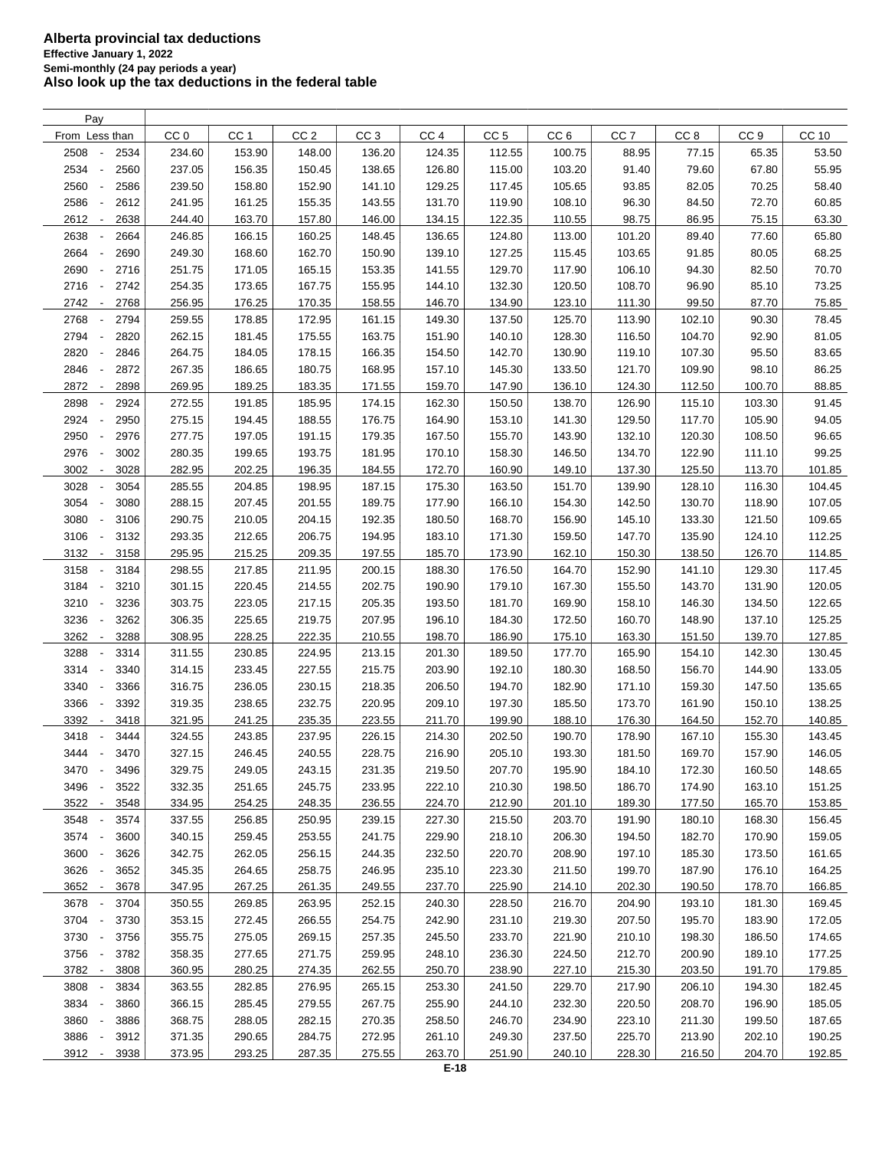| Pay                                      |                 |                 |                 |                 |                 |                 |                 |                 |                 |                 |        |
|------------------------------------------|-----------------|-----------------|-----------------|-----------------|-----------------|-----------------|-----------------|-----------------|-----------------|-----------------|--------|
| From Less than                           | CC <sub>0</sub> | CC <sub>1</sub> | CC <sub>2</sub> | CC <sub>3</sub> | CC <sub>4</sub> | CC <sub>5</sub> | CC <sub>6</sub> | CC <sub>7</sub> | CC <sub>8</sub> | CC <sub>9</sub> | CC 10  |
| 2508<br>2534                             | 234.60          | 153.90          | 148.00          | 136.20          | 124.35          | 112.55          | 100.75          | 88.95           | 77.15           | 65.35           | 53.50  |
| 2534<br>2560<br>$\overline{\phantom{a}}$ | 237.05          | 156.35          | 150.45          | 138.65          | 126.80          | 115.00          | 103.20          | 91.40           | 79.60           | 67.80           | 55.95  |
| 2560<br>2586                             | 239.50          | 158.80          | 152.90          | 141.10          | 129.25          | 117.45          | 105.65          | 93.85           | 82.05           | 70.25           | 58.40  |
| 2586<br>2612                             | 241.95          | 161.25          | 155.35          | 143.55          | 131.70          | 119.90          | 108.10          | 96.30           | 84.50           | 72.70           | 60.85  |
| 2612<br>2638<br>$\overline{\phantom{a}}$ | 244.40          | 163.70          | 157.80          | 146.00          | 134.15          | 122.35          | 110.55          | 98.75           | 86.95           | 75.15           | 63.30  |
| 2638<br>2664                             | 246.85          | 166.15          | 160.25          | 148.45          | 136.65          | 124.80          | 113.00          | 101.20          | 89.40           | 77.60           | 65.80  |
| 2664<br>2690<br>$\overline{\phantom{a}}$ | 249.30          | 168.60          | 162.70          | 150.90          | 139.10          | 127.25          | 115.45          | 103.65          | 91.85           | 80.05           | 68.25  |
|                                          |                 |                 |                 |                 |                 |                 |                 |                 |                 |                 |        |
| 2690<br>2716<br>$\overline{\phantom{a}}$ | 251.75          | 171.05          | 165.15          | 153.35          | 141.55          | 129.70          | 117.90          | 106.10          | 94.30           | 82.50           | 70.70  |
| 2716<br>2742<br>$\overline{\phantom{a}}$ | 254.35          | 173.65          | 167.75          | 155.95          | 144.10          | 132.30          | 120.50          | 108.70          | 96.90           | 85.10           | 73.25  |
| 2742<br>2768<br>$\sim$                   | 256.95          | 176.25          | 170.35          | 158.55          | 146.70          | 134.90          | 123.10          | 111.30          | 99.50           | 87.70           | 75.85  |
| 2768<br>2794<br>$\overline{\phantom{a}}$ | 259.55          | 178.85          | 172.95          | 161.15          | 149.30          | 137.50          | 125.70          | 113.90          | 102.10          | 90.30           | 78.45  |
| 2794<br>2820<br>$\overline{\phantom{a}}$ | 262.15          | 181.45          | 175.55          | 163.75          | 151.90          | 140.10          | 128.30          | 116.50          | 104.70          | 92.90           | 81.05  |
| 2820<br>2846                             | 264.75          | 184.05          | 178.15          | 166.35          | 154.50          | 142.70          | 130.90          | 119.10          | 107.30          | 95.50           | 83.65  |
| 2846<br>2872                             | 267.35          | 186.65          | 180.75          | 168.95          | 157.10          | 145.30          | 133.50          | 121.70          | 109.90          | 98.10           | 86.25  |
| 2872<br>2898<br>$\overline{\phantom{a}}$ | 269.95          | 189.25          | 183.35          | 171.55          | 159.70          | 147.90          | 136.10          | 124.30          | 112.50          | 100.70          | 88.85  |
| 2898<br>2924                             | 272.55          | 191.85          | 185.95          | 174.15          | 162.30          | 150.50          | 138.70          | 126.90          | 115.10          | 103.30          | 91.45  |
| 2924<br>2950<br>$\overline{\phantom{a}}$ | 275.15          | 194.45          | 188.55          | 176.75          | 164.90          | 153.10          | 141.30          | 129.50          | 117.70          | 105.90          | 94.05  |
| 2950<br>2976<br>$\overline{\phantom{a}}$ | 277.75          | 197.05          | 191.15          | 179.35          | 167.50          | 155.70          | 143.90          | 132.10          | 120.30          | 108.50          | 96.65  |
| 2976<br>3002<br>$\overline{\phantom{a}}$ | 280.35          | 199.65          | 193.75          | 181.95          | 170.10          | 158.30          | 146.50          | 134.70          | 122.90          | 111.10          | 99.25  |
| 3002<br>3028<br>$\overline{\phantom{a}}$ | 282.95          | 202.25          | 196.35          | 184.55          | 172.70          | 160.90          | 149.10          | 137.30          | 125.50          | 113.70          | 101.85 |
| 3028<br>3054<br>$\overline{\phantom{a}}$ | 285.55          | 204.85          | 198.95          | 187.15          | 175.30          | 163.50          | 151.70          | 139.90          | 128.10          | 116.30          | 104.45 |
| 3054<br>3080<br>$\overline{\phantom{a}}$ | 288.15          | 207.45          | 201.55          | 189.75          | 177.90          | 166.10          | 154.30          | 142.50          | 130.70          | 118.90          | 107.05 |
| 3080<br>3106<br>$\overline{\phantom{a}}$ | 290.75          | 210.05          | 204.15          | 192.35          | 180.50          | 168.70          | 156.90          | 145.10          | 133.30          | 121.50          | 109.65 |
| 3106<br>3132<br>$\overline{\phantom{a}}$ | 293.35          | 212.65          | 206.75          | 194.95          | 183.10          | 171.30          | 159.50          | 147.70          | 135.90          | 124.10          | 112.25 |
| 3132<br>3158<br>$\overline{\phantom{a}}$ | 295.95          | 215.25          | 209.35          | 197.55          | 185.70          | 173.90          | 162.10          | 150.30          | 138.50          | 126.70          | 114.85 |
| 3158<br>3184<br>$\overline{\phantom{a}}$ | 298.55          | 217.85          | 211.95          | 200.15          | 188.30          | 176.50          | 164.70          | 152.90          | 141.10          | 129.30          | 117.45 |
| 3184<br>3210<br>$\overline{\phantom{a}}$ | 301.15          | 220.45          | 214.55          | 202.75          | 190.90          | 179.10          | 167.30          | 155.50          | 143.70          | 131.90          | 120.05 |
| ÷,                                       |                 |                 |                 |                 |                 |                 |                 |                 |                 |                 |        |
| 3210<br>3236                             | 303.75          | 223.05          | 217.15          | 205.35          | 193.50          | 181.70          | 169.90          | 158.10          | 146.30          | 134.50          | 122.65 |
| 3236<br>3262<br>$\overline{\phantom{a}}$ | 306.35          | 225.65          | 219.75          | 207.95          | 196.10          | 184.30          | 172.50          | 160.70          | 148.90          | 137.10          | 125.25 |
| 3262<br>3288<br>$\overline{\phantom{a}}$ | 308.95          | 228.25          | 222.35          | 210.55          | 198.70          | 186.90          | 175.10          | 163.30          | 151.50          | 139.70          | 127.85 |
| 3288<br>3314<br>$\overline{\phantom{a}}$ | 311.55          | 230.85          | 224.95          | 213.15          | 201.30          | 189.50          | 177.70          | 165.90          | 154.10          | 142.30          | 130.45 |
| 3314<br>3340<br>$\overline{\phantom{a}}$ | 314.15          | 233.45          | 227.55          | 215.75          | 203.90          | 192.10          | 180.30          | 168.50          | 156.70          | 144.90          | 133.05 |
| 3340<br>3366<br>$\overline{\phantom{a}}$ | 316.75          | 236.05          | 230.15          | 218.35          | 206.50          | 194.70          | 182.90          | 171.10          | 159.30          | 147.50          | 135.65 |
| 3366<br>3392<br>$\overline{\phantom{a}}$ | 319.35          | 238.65          | 232.75          | 220.95          | 209.10          | 197.30          | 185.50          | 173.70          | 161.90          | 150.10          | 138.25 |
| 3392<br>3418<br>$\overline{\phantom{a}}$ | 321.95          | 241.25          | 235.35          | 223.55          | 211.70          | 199.90          | 188.10          | 176.30          | 164.50          | 152.70          | 140.85 |
| 3418<br>3444                             | 324.55          | 243.85          | 237.95          | 226.15          | 214.30          | 202.50          | 190.70          | 178.90          | 167.10          | 155.30          | 143.45 |
| 3444<br>3470<br>$\overline{\phantom{a}}$ | 327.15          | 246.45          | 240.55          | 228.75          | 216.90          | 205.10          | 193.30          | 181.50          | 169.70          | 157.90          | 146.05 |
| 3470<br>3496<br>$\overline{\phantom{a}}$ | 329.75          | 249.05          | 243.15          | 231.35          | 219.50          | 207.70          | 195.90          | 184.10          | 172.30          | 160.50          | 148.65 |
| 3496<br>3522                             | 332.35          | 251.65          | 245.75          | 233.95          | 222.10          | 210.30          | 198.50          | 186.70          | 174.90          | 163.10          | 151.25 |
| 3522 -<br>3548                           | 334.95          | 254.25          | 248.35          | 236.55          | 224.70          | 212.90          | 201.10          | 189.30          | 177.50          | 165.70          | 153.85 |
| 3548<br>3574                             | 337.55          | 256.85          | 250.95          | 239.15          | 227.30          | 215.50          | 203.70          | 191.90          | 180.10          | 168.30          | 156.45 |
| 3574 -<br>3600                           | 340.15          | 259.45          | 253.55          | 241.75          | 229.90          | 218.10          | 206.30          | 194.50          | 182.70          | 170.90          | 159.05 |
| 3600 -<br>3626                           | 342.75          | 262.05          | 256.15          | 244.35          | 232.50          | 220.70          | 208.90          | 197.10          | 185.30          | 173.50          | 161.65 |
| 3626<br>3652<br>$\overline{\phantom{a}}$ | 345.35          | 264.65          | 258.75          | 246.95          | 235.10          | 223.30          | 211.50          | 199.70          | 187.90          | 176.10          | 164.25 |
| 3652 -<br>3678                           | 347.95          | 267.25          | 261.35          | 249.55          | 237.70          | 225.90          | 214.10          | 202.30          | 190.50          | 178.70          | 166.85 |
| 3678 -<br>3704                           | 350.55          | 269.85          | 263.95          | 252.15          | 240.30          | 228.50          | 216.70          | 204.90          | 193.10          | 181.30          | 169.45 |
| 3704 -<br>3730                           | 353.15          | 272.45          | 266.55          | 254.75          | 242.90          | 231.10          | 219.30          | 207.50          | 195.70          | 183.90          | 172.05 |
| 3730 -<br>3756                           | 355.75          | 275.05          | 269.15          | 257.35          | 245.50          | 233.70          | 221.90          | 210.10          | 198.30          | 186.50          | 174.65 |
| 3756<br>3782<br>$\overline{\phantom{a}}$ | 358.35          | 277.65          | 271.75          | 259.95          | 248.10          | 236.30          | 224.50          | 212.70          | 200.90          | 189.10          | 177.25 |
| 3782 -<br>3808                           | 360.95          | 280.25          | 274.35          | 262.55          | 250.70          | 238.90          | 227.10          | 215.30          | 203.50          | 191.70          | 179.85 |
| 3808<br>3834                             | 363.55          | 282.85          | 276.95          | 265.15          | 253.30          | 241.50          | 229.70          | 217.90          | 206.10          | 194.30          | 182.45 |
|                                          |                 |                 |                 |                 |                 |                 |                 |                 |                 |                 |        |
| 3834<br>3860                             | 366.15          | 285.45          | 279.55          | 267.75          | 255.90          | 244.10          | 232.30          | 220.50          | 208.70          | 196.90          | 185.05 |
| 3860<br>3886<br>$\overline{\phantom{a}}$ | 368.75          | 288.05          | 282.15          | 270.35          | 258.50          | 246.70          | 234.90          | 223.10          | 211.30          | 199.50          | 187.65 |
| 3886<br>3912                             | 371.35          | 290.65          | 284.75          | 272.95          | 261.10          | 249.30          | 237.50          | 225.70          | 213.90          | 202.10          | 190.25 |
| 3912 -<br>3938                           | 373.95          | 293.25          | 287.35          | 275.55          | 263.70          | 251.90          | 240.10          | 228.30          | 216.50          | 204.70          | 192.85 |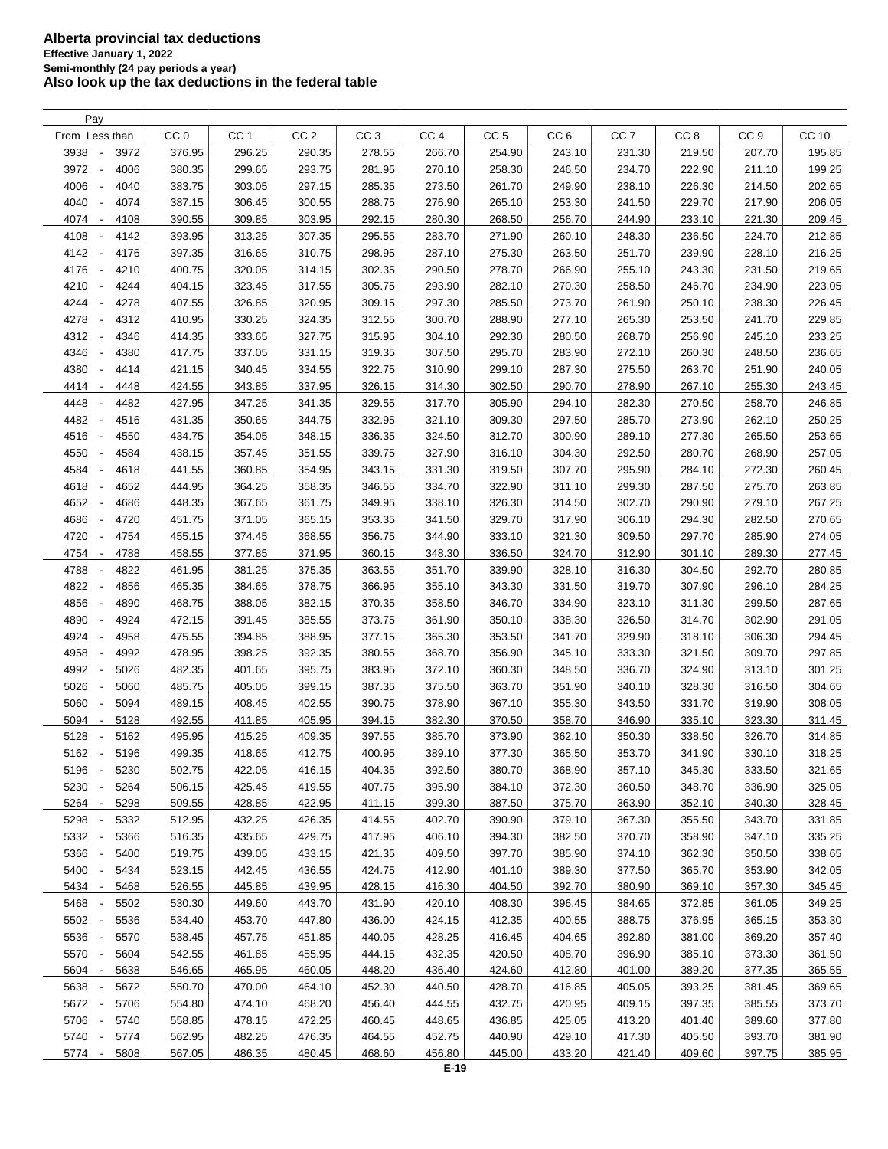| Pay                                      |                 |                 |                 |                 |                 |                 |                 |                 |                 |                 |              |
|------------------------------------------|-----------------|-----------------|-----------------|-----------------|-----------------|-----------------|-----------------|-----------------|-----------------|-----------------|--------------|
| From Less than                           | CC <sub>0</sub> | CC <sub>1</sub> | CC <sub>2</sub> | CC <sub>3</sub> | CC <sub>4</sub> | CC <sub>5</sub> | CC <sub>6</sub> | CC <sub>7</sub> | CC <sub>8</sub> | CC <sub>9</sub> | <b>CC 10</b> |
| 3938<br>3972<br>$\overline{\phantom{a}}$ | 376.95          | 296.25          | 290.35          | 278.55          | 266.70          | 254.90          | 243.10          | 231.30          | 219.50          | 207.70          | 195.85       |
| 3972<br>4006<br>$\overline{\phantom{a}}$ | 380.35          | 299.65          | 293.75          | 281.95          | 270.10          | 258.30          | 246.50          | 234.70          | 222.90          | 211.10          | 199.25       |
| 4006<br>4040<br>$\overline{\phantom{a}}$ | 383.75          | 303.05          | 297.15          | 285.35          | 273.50          | 261.70          | 249.90          | 238.10          | 226.30          | 214.50          | 202.65       |
| 4040<br>4074<br>$\overline{\phantom{a}}$ | 387.15          | 306.45          | 300.55          | 288.75          | 276.90          | 265.10          | 253.30          | 241.50          | 229.70          | 217.90          | 206.05       |
| 4074<br>4108<br>$\overline{\phantom{a}}$ | 390.55          | 309.85          | 303.95          | 292.15          | 280.30          | 268.50          | 256.70          | 244.90          | 233.10          | 221.30          | 209.45       |
| 4108<br>4142<br>$\overline{\phantom{a}}$ | 393.95          |                 |                 | 295.55          |                 |                 | 260.10          |                 | 236.50          | 224.70          |              |
|                                          |                 | 313.25          | 307.35          |                 | 283.70          | 271.90          |                 | 248.30          |                 |                 | 212.85       |
| 4142<br>$\overline{\phantom{a}}$<br>4176 | 397.35          | 316.65          | 310.75          | 298.95          | 287.10          | 275.30          | 263.50          | 251.70          | 239.90          | 228.10          | 216.25       |
| 4176<br>4210<br>$\overline{\phantom{a}}$ | 400.75          | 320.05          | 314.15          | 302.35          | 290.50          | 278.70          | 266.90          | 255.10          | 243.30          | 231.50          | 219.65       |
| 4210<br>4244<br>$\overline{\phantom{a}}$ | 404.15          | 323.45          | 317.55          | 305.75          | 293.90          | 282.10          | 270.30          | 258.50          | 246.70          | 234.90          | 223.05       |
| 4244<br>4278<br>$\overline{\phantom{a}}$ | 407.55          | 326.85          | 320.95          | 309.15          | 297.30          | 285.50          | 273.70          | 261.90          | 250.10          | 238.30          | 226.45       |
| 4278<br>4312<br>$\overline{\phantom{a}}$ | 410.95          | 330.25          | 324.35          | 312.55          | 300.70          | 288.90          | 277.10          | 265.30          | 253.50          | 241.70          | 229.85       |
| 4312<br>4346<br>$\overline{\phantom{a}}$ | 414.35          | 333.65          | 327.75          | 315.95          | 304.10          | 292.30          | 280.50          | 268.70          | 256.90          | 245.10          | 233.25       |
| 4346<br>4380<br>$\overline{\phantom{a}}$ | 417.75          | 337.05          | 331.15          | 319.35          | 307.50          | 295.70          | 283.90          | 272.10          | 260.30          | 248.50          | 236.65       |
| 4380<br>4414                             | 421.15          | 340.45          | 334.55          | 322.75          | 310.90          | 299.10          | 287.30          | 275.50          | 263.70          | 251.90          | 240.05       |
| 4414<br>4448<br>$\overline{\phantom{a}}$ | 424.55          | 343.85          | 337.95          | 326.15          | 314.30          | 302.50          | 290.70          | 278.90          | 267.10          | 255.30          | 243.45       |
| 4448<br>4482                             | 427.95          | 347.25          | 341.35          | 329.55          | 317.70          | 305.90          | 294.10          | 282.30          | 270.50          | 258.70          | 246.85       |
| 4482<br>4516<br>$\overline{\phantom{a}}$ | 431.35          | 350.65          | 344.75          | 332.95          | 321.10          | 309.30          | 297.50          | 285.70          | 273.90          | 262.10          | 250.25       |
| 4516<br>4550<br>$\overline{\phantom{a}}$ | 434.75          | 354.05          | 348.15          | 336.35          | 324.50          | 312.70          | 300.90          | 289.10          | 277.30          | 265.50          | 253.65       |
| 4550<br>4584<br>$\overline{\phantom{a}}$ | 438.15          | 357.45          | 351.55          | 339.75          | 327.90          | 316.10          | 304.30          | 292.50          | 280.70          | 268.90          | 257.05       |
| 4584<br>4618<br>$\overline{\phantom{a}}$ | 441.55          | 360.85          | 354.95          | 343.15          | 331.30          | 319.50          | 307.70          | 295.90          | 284.10          | 272.30          | 260.45       |
| 4618<br>4652<br>$\overline{\phantom{a}}$ | 444.95          | 364.25          | 358.35          | 346.55          | 334.70          | 322.90          | 311.10          | 299.30          | 287.50          | 275.70          | 263.85       |
| 4652<br>4686<br>$\overline{\phantom{a}}$ | 448.35          | 367.65          | 361.75          | 349.95          | 338.10          | 326.30          | 314.50          | 302.70          | 290.90          | 279.10          | 267.25       |
| 4686<br>4720<br>$\overline{\phantom{a}}$ | 451.75          | 371.05          | 365.15          | 353.35          | 341.50          | 329.70          | 317.90          | 306.10          | 294.30          | 282.50          | 270.65       |
| 4720<br>4754<br>$\overline{\phantom{a}}$ | 455.15          | 374.45          | 368.55          | 356.75          | 344.90          | 333.10          | 321.30          | 309.50          | 297.70          | 285.90          | 274.05       |
|                                          |                 |                 |                 |                 |                 |                 |                 |                 |                 |                 |              |
| 4754<br>4788<br>$\overline{\phantom{a}}$ | 458.55          | 377.85          | 371.95          | 360.15          | 348.30          | 336.50          | 324.70          | 312.90          | 301.10          | 289.30          | 277.45       |
| 4788<br>4822                             | 461.95          | 381.25          | 375.35          | 363.55          | 351.70          | 339.90          | 328.10          | 316.30          | 304.50          | 292.70          | 280.85       |
| 4822<br>4856                             | 465.35          | 384.65          | 378.75          | 366.95          | 355.10          | 343.30          | 331.50          | 319.70          | 307.90          | 296.10          | 284.25       |
| 4856<br>4890                             | 468.75          | 388.05          | 382.15          | 370.35          | 358.50          | 346.70          | 334.90          | 323.10          | 311.30          | 299.50          | 287.65       |
| 4890<br>4924                             | 472.15          | 391.45          | 385.55          | 373.75          | 361.90          | 350.10          | 338.30          | 326.50          | 314.70          | 302.90          | 291.05       |
| 4924<br>4958<br>$\overline{\phantom{a}}$ | 475.55          | 394.85          | 388.95          | 377.15          | 365.30          | 353.50          | 341.70          | 329.90          | 318.10          | 306.30          | 294.45       |
| 4958<br>4992<br>$\overline{\phantom{a}}$ | 478.95          | 398.25          | 392.35          | 380.55          | 368.70          | 356.90          | 345.10          | 333.30          | 321.50          | 309.70          | 297.85       |
| 4992<br>5026<br>$\overline{\phantom{a}}$ | 482.35          | 401.65          | 395.75          | 383.95          | 372.10          | 360.30          | 348.50          | 336.70          | 324.90          | 313.10          | 301.25       |
| 5026<br>5060<br>$\overline{\phantom{a}}$ | 485.75          | 405.05          | 399.15          | 387.35          | 375.50          | 363.70          | 351.90          | 340.10          | 328.30          | 316.50          | 304.65       |
| 5060<br>5094<br>$\overline{\phantom{a}}$ | 489.15          | 408.45          | 402.55          | 390.75          | 378.90          | 367.10          | 355.30          | 343.50          | 331.70          | 319.90          | 308.05       |
| 5094<br>5128<br>$\overline{\phantom{a}}$ | 492.55          | 411.85          | 405.95          | 394.15          | 382.30          | 370.50          | 358.70          | 346.90          | 335.10          | 323.30          | 311.45       |
| 5128<br>5162<br>$\overline{\phantom{a}}$ | 495.95          | 415.25          | 409.35          | 397.55          | 385.70          | 373.90          | 362.10          | 350.30          | 338.50          | 326.70          | 314.85       |
| 5162 -<br>5196                           | 499.35          | 418.65          | 412.75          | 400.95          | 389.10          | 377.30          | 365.50          | 353.70          | 341.90          | 330.10          | 318.25       |
| 5196<br>$\overline{\phantom{a}}$<br>5230 | 502.75          | 422.05          | 416.15          | 404.35          | 392.50          | 380.70          | 368.90          | 357.10          | 345.30          | 333.50          | 321.65       |
| 5230<br>5264                             | 506.15          | 425.45          | 419.55          | 407.75          | 395.90          | 384.10          | 372.30          | 360.50          | 348.70          | 336.90          | 325.05       |
| 5264<br>5298<br>$\overline{\phantom{a}}$ | 509.55          | 428.85          | 422.95          | 411.15          | 399.30          | 387.50          | 375.70          | 363.90          | 352.10          | 340.30          | 328.45       |
| 5298<br>5332                             | 512.95          | 432.25          | 426.35          | 414.55          | 402.70          | 390.90          | 379.10          | 367.30          | 355.50          | 343.70          | 331.85       |
| 5332<br>5366                             | 516.35          | 435.65          | 429.75          | 417.95          | 406.10          | 394.30          | 382.50          | 370.70          | 358.90          | 347.10          | 335.25       |
| 5366<br>5400<br>$\overline{\phantom{a}}$ | 519.75          | 439.05          | 433.15          | 421.35          | 409.50          | 397.70          | 385.90          | 374.10          | 362.30          | 350.50          | 338.65       |
| 5400                                     |                 | 442.45          | 436.55          | 424.75          |                 |                 |                 | 377.50          | 365.70          |                 |              |
| 5434<br>$\overline{\phantom{a}}$         | 523.15          |                 |                 |                 | 412.90          | 401.10          | 389.30          |                 |                 | 353.90          | 342.05       |
| 5434<br>5468<br>$\overline{\phantom{a}}$ | 526.55          | 445.85          | 439.95          | 428.15          | 416.30          | 404.50          | 392.70          | 380.90          | 369.10          | 357.30          | 345.45       |
| 5468<br>5502<br>$\overline{\phantom{a}}$ | 530.30          | 449.60          | 443.70          | 431.90          | 420.10          | 408.30          | 396.45          | 384.65          | 372.85          | 361.05          | 349.25       |
| 5502<br>5536<br>$\overline{\phantom{a}}$ | 534.40          | 453.70          | 447.80          | 436.00          | 424.15          | 412.35          | 400.55          | 388.75          | 376.95          | 365.15          | 353.30       |
| 5536<br>5570<br>$\overline{\phantom{a}}$ | 538.45          | 457.75          | 451.85          | 440.05          | 428.25          | 416.45          | 404.65          | 392.80          | 381.00          | 369.20          | 357.40       |
| 5570 -<br>5604                           | 542.55          | 461.85          | 455.95          | 444.15          | 432.35          | 420.50          | 408.70          | 396.90          | 385.10          | 373.30          | 361.50       |
| 5604 -<br>5638                           | 546.65          | 465.95          | 460.05          | 448.20          | 436.40          | 424.60          | 412.80          | 401.00          | 389.20          | 377.35          | 365.55       |
| 5638<br>5672                             | 550.70          | 470.00          | 464.10          | 452.30          | 440.50          | 428.70          | 416.85          | 405.05          | 393.25          | 381.45          | 369.65       |
| 5672 -<br>5706                           | 554.80          | 474.10          | 468.20          | 456.40          | 444.55          | 432.75          | 420.95          | 409.15          | 397.35          | 385.55          | 373.70       |
| 5706<br>5740<br>$\overline{\phantom{a}}$ | 558.85          | 478.15          | 472.25          | 460.45          | 448.65          | 436.85          | 425.05          | 413.20          | 401.40          | 389.60          | 377.80       |
| 5740 -<br>5774                           | 562.95          | 482.25          | 476.35          | 464.55          | 452.75          | 440.90          | 429.10          | 417.30          | 405.50          | 393.70          | 381.90       |
| 5774 -<br>5808                           | 567.05          | 486.35          | 480.45          | 468.60          | 456.80          | 445.00          | 433.20          | 421.40          | 409.60          | 397.75          | 385.95       |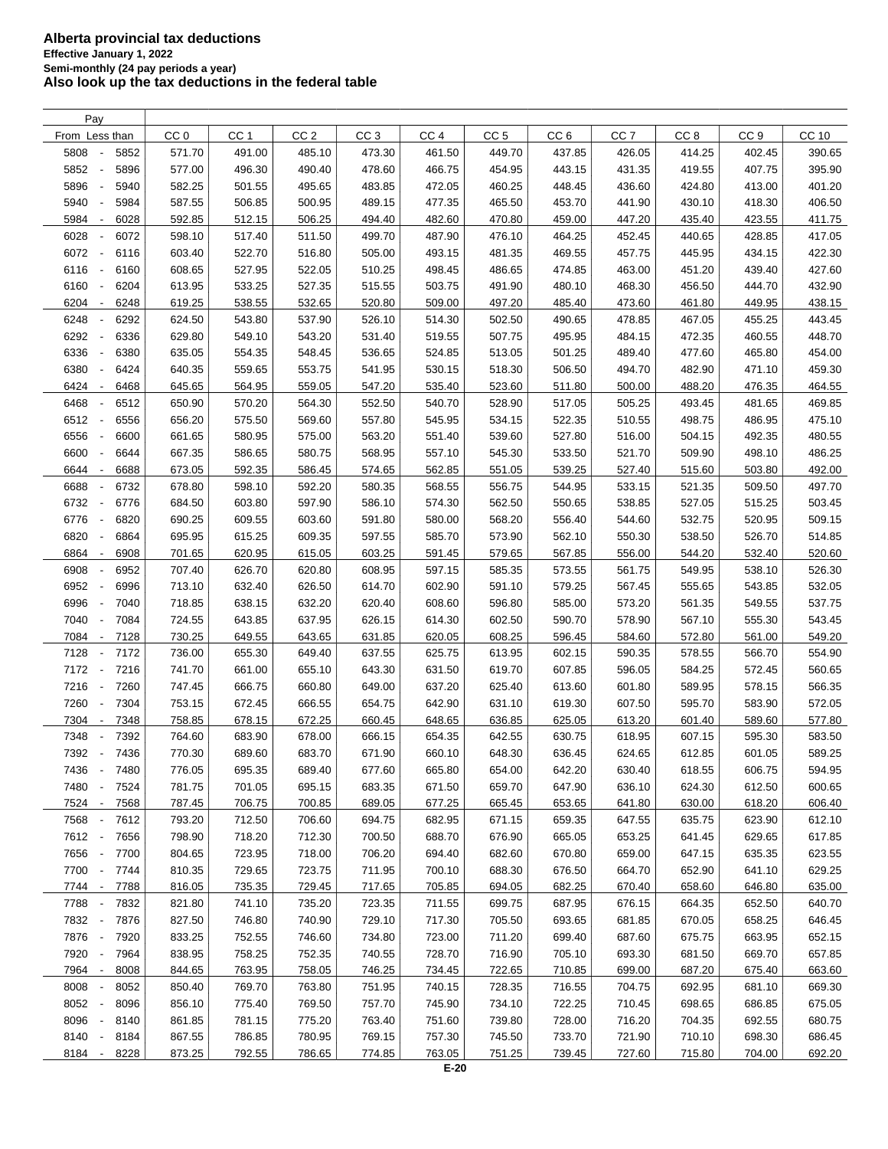| Pay                                      |                 |                 |                 |                 |                 |                 |                 |                 |                 |                 |        |
|------------------------------------------|-----------------|-----------------|-----------------|-----------------|-----------------|-----------------|-----------------|-----------------|-----------------|-----------------|--------|
| From Less than                           | CC <sub>0</sub> | CC <sub>1</sub> | CC <sub>2</sub> | CC <sub>3</sub> | CC <sub>4</sub> | CC <sub>5</sub> | CC <sub>6</sub> | CC <sub>7</sub> | CC <sub>8</sub> | CC <sub>9</sub> | CC 10  |
| 5808<br>5852                             | 571.70          | 491.00          | 485.10          | 473.30          | 461.50          | 449.70          | 437.85          | 426.05          | 414.25          | 402.45          | 390.65 |
| 5852<br>5896<br>÷,                       | 577.00          | 496.30          | 490.40          | 478.60          | 466.75          | 454.95          | 443.15          | 431.35          | 419.55          | 407.75          | 395.90 |
| 5896<br>5940<br>$\overline{\phantom{a}}$ | 582.25          | 501.55          | 495.65          | 483.85          | 472.05          | 460.25          | 448.45          | 436.60          | 424.80          | 413.00          | 401.20 |
| 5940<br>5984                             | 587.55          | 506.85          | 500.95          | 489.15          | 477.35          | 465.50          | 453.70          | 441.90          | 430.10          | 418.30          | 406.50 |
| 5984<br>6028<br>$\overline{\phantom{a}}$ | 592.85          | 512.15          | 506.25          | 494.40          | 482.60          | 470.80          | 459.00          | 447.20          | 435.40          | 423.55          | 411.75 |
| 6028<br>6072<br>$\overline{\phantom{a}}$ | 598.10          | 517.40          |                 | 499.70          | 487.90          | 476.10          | 464.25          | 452.45          | 440.65          | 428.85          |        |
|                                          |                 |                 | 511.50          |                 |                 |                 |                 |                 |                 |                 | 417.05 |
| 6072 -<br>6116                           | 603.40          | 522.70          | 516.80          | 505.00          | 493.15          | 481.35          | 469.55          | 457.75          | 445.95          | 434.15          | 422.30 |
| 6116<br>6160<br>$\overline{\phantom{a}}$ | 608.65          | 527.95          | 522.05          | 510.25          | 498.45          | 486.65          | 474.85          | 463.00          | 451.20          | 439.40          | 427.60 |
| 6160<br>6204<br>$\overline{\phantom{a}}$ | 613.95          | 533.25          | 527.35          | 515.55          | 503.75          | 491.90          | 480.10          | 468.30          | 456.50          | 444.70          | 432.90 |
| 6204<br>6248<br>$\overline{\phantom{a}}$ | 619.25          | 538.55          | 532.65          | 520.80          | 509.00          | 497.20          | 485.40          | 473.60          | 461.80          | 449.95          | 438.15 |
| 6248<br>6292<br>$\overline{\phantom{a}}$ | 624.50          | 543.80          | 537.90          | 526.10          | 514.30          | 502.50          | 490.65          | 478.85          | 467.05          | 455.25          | 443.45 |
| 6292<br>6336<br>$\overline{\phantom{a}}$ | 629.80          | 549.10          | 543.20          | 531.40          | 519.55          | 507.75          | 495.95          | 484.15          | 472.35          | 460.55          | 448.70 |
| 6336<br>6380<br>$\overline{\phantom{a}}$ | 635.05          | 554.35          | 548.45          | 536.65          | 524.85          | 513.05          | 501.25          | 489.40          | 477.60          | 465.80          | 454.00 |
| 6380<br>6424                             | 640.35          | 559.65          | 553.75          | 541.95          | 530.15          | 518.30          | 506.50          | 494.70          | 482.90          | 471.10          | 459.30 |
| 6424<br>6468<br>$\overline{\phantom{a}}$ | 645.65          | 564.95          | 559.05          | 547.20          | 535.40          | 523.60          | 511.80          | 500.00          | 488.20          | 476.35          | 464.55 |
| 6468<br>6512                             | 650.90          | 570.20          | 564.30          | 552.50          | 540.70          | 528.90          | 517.05          | 505.25          | 493.45          | 481.65          | 469.85 |
| 6512<br>6556<br>$\overline{\phantom{a}}$ | 656.20          | 575.50          | 569.60          | 557.80          | 545.95          | 534.15          | 522.35          | 510.55          | 498.75          | 486.95          | 475.10 |
| 6556<br>6600<br>$\overline{\phantom{a}}$ | 661.65          | 580.95          | 575.00          | 563.20          | 551.40          | 539.60          | 527.80          | 516.00          | 504.15          | 492.35          | 480.55 |
| 6600<br>6644<br>$\overline{\phantom{a}}$ | 667.35          | 586.65          | 580.75          | 568.95          | 557.10          | 545.30          | 533.50          | 521.70          | 509.90          | 498.10          | 486.25 |
| 6644<br>6688<br>$\overline{\phantom{a}}$ | 673.05          | 592.35          | 586.45          | 574.65          | 562.85          | 551.05          | 539.25          | 527.40          | 515.60          | 503.80          | 492.00 |
| 6688<br>6732<br>$\overline{\phantom{a}}$ | 678.80          | 598.10          | 592.20          | 580.35          | 568.55          | 556.75          | 544.95          | 533.15          | 521.35          | 509.50          | 497.70 |
| 6732<br>6776<br>$\overline{\phantom{a}}$ | 684.50          | 603.80          | 597.90          | 586.10          | 574.30          | 562.50          | 550.65          | 538.85          | 527.05          | 515.25          | 503.45 |
| 6776<br>6820<br>$\overline{\phantom{a}}$ |                 | 609.55          | 603.60          | 591.80          | 580.00          |                 |                 |                 |                 |                 | 509.15 |
|                                          | 690.25          |                 |                 |                 |                 | 568.20          | 556.40          | 544.60          | 532.75          | 520.95          |        |
| 6820<br>6864<br>$\overline{\phantom{a}}$ | 695.95          | 615.25          | 609.35          | 597.55          | 585.70          | 573.90          | 562.10          | 550.30          | 538.50          | 526.70          | 514.85 |
| 6864<br>6908<br>$\overline{\phantom{a}}$ | 701.65          | 620.95          | 615.05          | 603.25          | 591.45          | 579.65          | 567.85          | 556.00          | 544.20          | 532.40          | 520.60 |
| 6908<br>6952                             | 707.40          | 626.70          | 620.80          | 608.95          | 597.15          | 585.35          | 573.55          | 561.75          | 549.95          | 538.10          | 526.30 |
| 6952<br>6996                             | 713.10          | 632.40          | 626.50          | 614.70          | 602.90          | 591.10          | 579.25          | 567.45          | 555.65          | 543.85          | 532.05 |
| 6996<br>7040                             | 718.85          | 638.15          | 632.20          | 620.40          | 608.60          | 596.80          | 585.00          | 573.20          | 561.35          | 549.55          | 537.75 |
| 7040<br>7084                             | 724.55          | 643.85          | 637.95          | 626.15          | 614.30          | 602.50          | 590.70          | 578.90          | 567.10          | 555.30          | 543.45 |
| 7084<br>7128<br>$\overline{\phantom{a}}$ | 730.25          | 649.55          | 643.65          | 631.85          | 620.05          | 608.25          | 596.45          | 584.60          | 572.80          | 561.00          | 549.20 |
| 7128<br>7172<br>$\overline{\phantom{a}}$ | 736.00          | 655.30          | 649.40          | 637.55          | 625.75          | 613.95          | 602.15          | 590.35          | 578.55          | 566.70          | 554.90 |
| 7172<br>7216<br>$\sim$                   | 741.70          | 661.00          | 655.10          | 643.30          | 631.50          | 619.70          | 607.85          | 596.05          | 584.25          | 572.45          | 560.65 |
| 7216<br>$\overline{\phantom{a}}$<br>7260 | 747.45          | 666.75          | 660.80          | 649.00          | 637.20          | 625.40          | 613.60          | 601.80          | 589.95          | 578.15          | 566.35 |
| 7260<br>7304<br>$\overline{\phantom{a}}$ | 753.15          | 672.45          | 666.55          | 654.75          | 642.90          | 631.10          | 619.30          | 607.50          | 595.70          | 583.90          | 572.05 |
| 7304<br>7348<br>$\overline{\phantom{a}}$ | 758.85          | 678.15          | 672.25          | 660.45          | 648.65          | 636.85          | 625.05          | 613.20          | 601.40          | 589.60          | 577.80 |
| 7348<br>7392                             | 764.60          | 683.90          | 678.00          | 666.15          | 654.35          | 642.55          | 630.75          | 618.95          | 607.15          | 595.30          | 583.50 |
| 7392 -<br>7436                           | 770.30          | 689.60          | 683.70          | 671.90          | 660.10          | 648.30          | 636.45          | 624.65          | 612.85          | 601.05          | 589.25 |
| 7436<br>$\overline{\phantom{a}}$<br>7480 | 776.05          | 695.35          | 689.40          | 677.60          | 665.80          | 654.00          | 642.20          | 630.40          | 618.55          | 606.75          | 594.95 |
| 7480 -<br>7524                           | 781.75          | 701.05          | 695.15          | 683.35          | 671.50          | 659.70          | 647.90          | 636.10          | 624.30          | 612.50          | 600.65 |
| 7524 -<br>7568                           | 787.45          | 706.75          | 700.85          | 689.05          | 677.25          | 665.45          | 653.65          | 641.80          | 630.00          | 618.20          | 606.40 |
| 7568<br>7612<br>$\overline{\phantom{a}}$ | 793.20          | 712.50          | 706.60          | 694.75          | 682.95          | 671.15          | 659.35          | 647.55          | 635.75          | 623.90          | 612.10 |
| 7612 -<br>7656                           | 798.90          | 718.20          | 712.30          | 700.50          | 688.70          | 676.90          | 665.05          | 653.25          | 641.45          | 629.65          | 617.85 |
| 7656 -<br>7700                           | 804.65          | 723.95          | 718.00          | 706.20          | 694.40          | 682.60          | 670.80          | 659.00          | 647.15          | 635.35          | 623.55 |
|                                          |                 |                 |                 |                 |                 |                 |                 |                 |                 |                 |        |
| 7700 -<br>7744                           | 810.35          | 729.65          | 723.75          | 711.95          | 700.10          | 688.30          | 676.50          | 664.70          | 652.90          | 641.10          | 629.25 |
| 7744 -<br>7788                           | 816.05          | 735.35          | 729.45          | 717.65          | 705.85          | 694.05          | 682.25          | 670.40          | 658.60          | 646.80          | 635.00 |
| 7788 -<br>7832                           | 821.80          | 741.10          | 735.20          | 723.35          | 711.55          | 699.75          | 687.95          | 676.15          | 664.35          | 652.50          | 640.70 |
| 7832 -<br>7876                           | 827.50          | 746.80          | 740.90          | 729.10          | 717.30          | 705.50          | 693.65          | 681.85          | 670.05          | 658.25          | 646.45 |
| 7876 -<br>7920                           | 833.25          | 752.55          | 746.60          | 734.80          | 723.00          | 711.20          | 699.40          | 687.60          | 675.75          | 663.95          | 652.15 |
| 7920 -<br>7964                           | 838.95          | 758.25          | 752.35          | 740.55          | 728.70          | 716.90          | 705.10          | 693.30          | 681.50          | 669.70          | 657.85 |
| 7964 -<br>8008                           | 844.65          | 763.95          | 758.05          | 746.25          | 734.45          | 722.65          | 710.85          | 699.00          | 687.20          | 675.40          | 663.60 |
| 8008<br>8052<br>$\overline{\phantom{a}}$ | 850.40          | 769.70          | 763.80          | 751.95          | 740.15          | 728.35          | 716.55          | 704.75          | 692.95          | 681.10          | 669.30 |
| 8052<br>8096<br>$\overline{\phantom{a}}$ | 856.10          | 775.40          | 769.50          | 757.70          | 745.90          | 734.10          | 722.25          | 710.45          | 698.65          | 686.85          | 675.05 |
| 8096<br>8140<br>$\overline{\phantom{a}}$ | 861.85          | 781.15          | 775.20          | 763.40          | 751.60          | 739.80          | 728.00          | 716.20          | 704.35          | 692.55          | 680.75 |
| 8140<br>8184<br>$\sim$                   | 867.55          | 786.85          | 780.95          | 769.15          | 757.30          | 745.50          | 733.70          | 721.90          | 710.10          | 698.30          | 686.45 |
| 8184<br>8228<br>$\overline{\phantom{a}}$ | 873.25          | 792.55          | 786.65          | 774.85          | 763.05          | 751.25          | 739.45          | 727.60          | 715.80          | 704.00          | 692.20 |